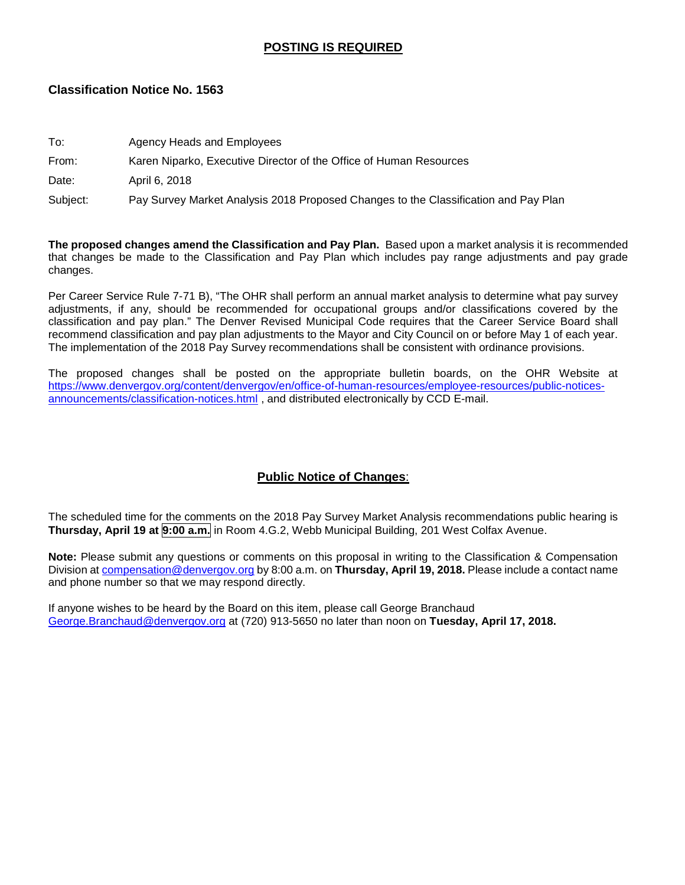## **POSTING IS REQUIRED**

### **Classification Notice No. 1563**

| To:      | Agency Heads and Employees                                                          |
|----------|-------------------------------------------------------------------------------------|
| From:    | Karen Niparko, Executive Director of the Office of Human Resources                  |
| Date:    | April 6, 2018                                                                       |
| Subject: | Pay Survey Market Analysis 2018 Proposed Changes to the Classification and Pay Plan |

**The proposed changes amend the Classification and Pay Plan.** Based upon a market analysis it is recommended that changes be made to the Classification and Pay Plan which includes pay range adjustments and pay grade changes.

Per Career Service Rule 7-71 B), "The OHR shall perform an annual market analysis to determine what pay survey adjustments, if any, should be recommended for occupational groups and/or classifications covered by the classification and pay plan." The Denver Revised Municipal Code requires that the Career Service Board shall recommend classification and pay plan adjustments to the Mayor and City Council on or before May 1 of each year. The implementation of the 2018 Pay Survey recommendations shall be consistent with ordinance provisions.

The proposed changes shall be posted on the appropriate bulletin boards, on the OHR Website at [https://www.denvergov.org/content/denvergov/en/office-of-human-resources/employee-resources/public-notices](https://www.denvergov.org/content/denvergov/en/office-of-human-resources/employee-resources/public-notices-announcements/classification-notices.html)[announcements/classification-notices.html](https://www.denvergov.org/content/denvergov/en/office-of-human-resources/employee-resources/public-notices-announcements/classification-notices.html) , and distributed electronically by CCD E-mail.

## **Public Notice of Changes**:

The scheduled time for the comments on the 2018 Pay Survey Market Analysis recommendations public hearing is **Thursday, April 19 at 9:00 a.m.** in Room 4.G.2, Webb Municipal Building, 201 West Colfax Avenue.

**Note:** Please submit any questions or comments on this proposal in writing to the Classification & Compensation Division at [compensation@denvergov.org](mailto:compensation@denvergov.org) by 8:00 a.m. on **Thursday, April 19, 2018.** Please include a contact name and phone number so that we may respond directly.

If anyone wishes to be heard by the Board on this item, please call George Branchaud [George.Branchaud@denvergov.org](mailto:George.Branchaud@denvergov.org) at (720) 913-5650 no later than noon on **Tuesday, April 17, 2018.**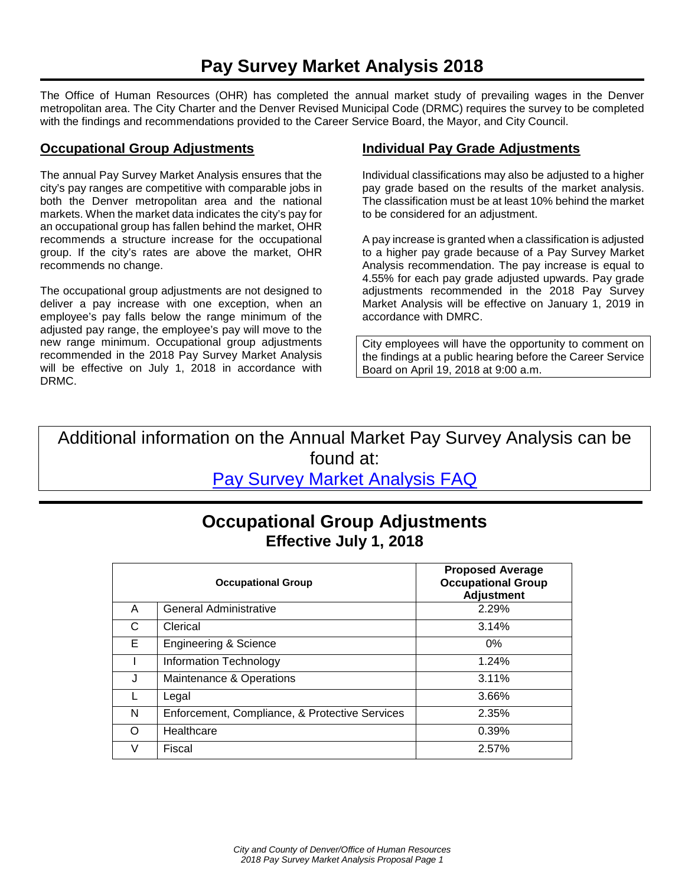The Office of Human Resources (OHR) has completed the annual market study of prevailing wages in the Denver metropolitan area. The City Charter and the Denver Revised Municipal Code (DRMC) requires the survey to be completed with the findings and recommendations provided to the Career Service Board, the Mayor, and City Council.

### **Occupational Group Adjustments**

The annual Pay Survey Market Analysis ensures that the city's pay ranges are competitive with comparable jobs in both the Denver metropolitan area and the national markets. When the market data indicates the city's pay for an occupational group has fallen behind the market, OHR recommends a structure increase for the occupational group. If the city's rates are above the market, OHR recommends no change.

The occupational group adjustments are not designed to deliver a pay increase with one exception, when an employee's pay falls below the range minimum of the adjusted pay range, the employee's pay will move to the new range minimum. Occupational group adjustments recommended in the 2018 Pay Survey Market Analysis will be effective on July 1, 2018 in accordance with DRMC.

### **Individual Pay Grade Adjustments**

Individual classifications may also be adjusted to a higher pay grade based on the results of the market analysis. The classification must be at least 10% behind the market to be considered for an adjustment.

A pay increase is granted when a classification is adjusted to a higher pay grade because of a Pay Survey Market Analysis recommendation. The pay increase is equal to 4.55% for each pay grade adjusted upwards. Pay grade adjustments recommended in the 2018 Pay Survey Market Analysis will be effective on January 1, 2019 in accordance with DMRC.

City employees will have the opportunity to comment on the findings at a public hearing before the Career Service Board on April 19, 2018 at 9:00 a.m.

Additional information on the Annual Market Pay Survey Analysis can be found at: [Pay Survey Market Analysis FAQ](https://www.denvergov.org/content/denvergov/en/office-of-human-resources/employee-resources/Classification-and-Compensation/market-pay-survey.html)

## **Occupational Group Adjustments Effective July 1, 2018**

|    | <b>Occupational Group</b>                      | <b>Proposed Average</b><br><b>Occupational Group</b><br><b>Adjustment</b> |
|----|------------------------------------------------|---------------------------------------------------------------------------|
| A  | General Administrative                         | 2.29%                                                                     |
| C  | Clerical                                       | 3.14%                                                                     |
| Е. | <b>Engineering &amp; Science</b>               | 0%                                                                        |
|    | Information Technology                         | 1.24%                                                                     |
| J  | Maintenance & Operations                       | 3.11%                                                                     |
|    | Legal                                          | 3.66%                                                                     |
| N  | Enforcement, Compliance, & Protective Services | 2.35%                                                                     |
| ∩  | Healthcare                                     | 0.39%                                                                     |
|    | Fiscal                                         | 2.57%                                                                     |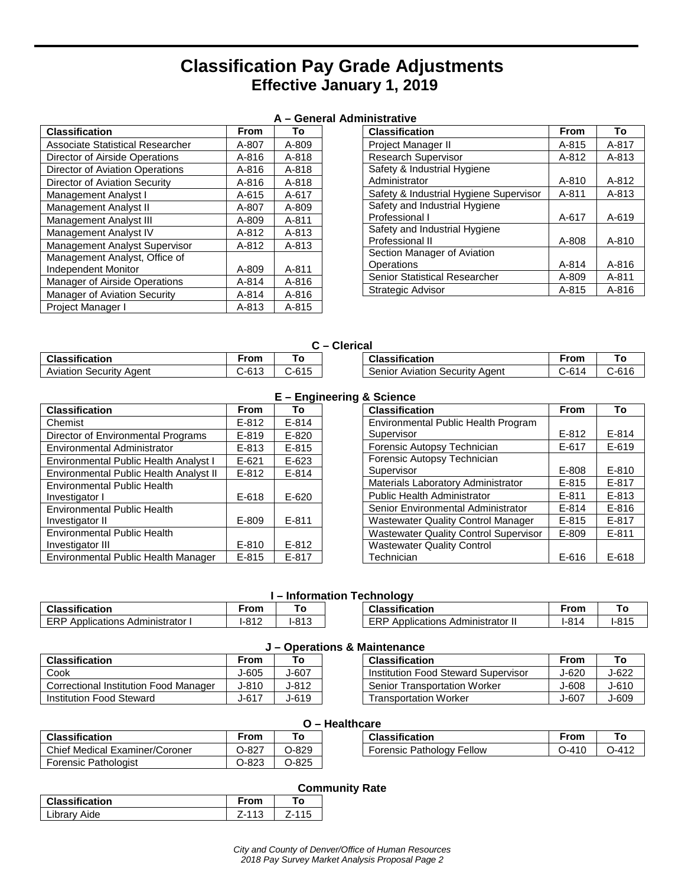## **Classification Pay Grade Adjustments Effective January 1, 2019**

|--|

| <b>Classification</b>                   | From  | То        |
|-----------------------------------------|-------|-----------|
| <b>Associate Statistical Researcher</b> | A-807 | A-809     |
| Director of Airside Operations          | A-816 | A-818     |
| Director of Aviation Operations         | A-816 | A-818     |
| Director of Aviation Security           | A-816 | A-818     |
| Management Analyst I                    | A-615 | A-617     |
| Management Analyst II                   | A-807 | A-809     |
| Management Analyst III                  | A-809 | A-811     |
| Management Analyst IV                   | A-812 | A-813     |
| <b>Management Analyst Supervisor</b>    | A-812 | $A - 813$ |
| Management Analyst, Office of           |       |           |
| <b>Independent Monitor</b>              | A-809 | A-811     |
| Manager of Airside Operations           | A-814 | A-816     |
| Manager of Aviation Security            | A-814 | A-816     |
| Project Manager I                       | A-813 | A-815     |

| <b>Classification</b>                  | <b>From</b> | To        |
|----------------------------------------|-------------|-----------|
| <b>Project Manager II</b>              | A-815       | A-817     |
| <b>Research Supervisor</b>             | A-812       | A-813     |
| Safety & Industrial Hygiene            |             |           |
| Administrator                          | A-810       | $A-812$   |
| Safety & Industrial Hygiene Supervisor | A-811       | $A - 813$ |
| Safety and Industrial Hygiene          |             |           |
| Professional I                         | A-617       | A-619     |
| Safety and Industrial Hygiene          |             |           |
| Professional II                        | A-808       | A-810     |
| Section Manager of Aviation            |             |           |
| Operations                             | A-814       | A-816     |
| Senior Statistical Researcher          | A-809       | A-811     |
| <b>Strategic Advisor</b>               | A-815       | A-816     |

| Classification                 | <b>From</b> |         |  |
|--------------------------------|-------------|---------|--|
| <b>Aviation Security Agent</b> | $C-613$     | $C-615$ |  |

| <b>Clerical</b> |                                       |       |       |
|-----------------|---------------------------------------|-------|-------|
|                 | <b>Classification</b>                 | From  | τо⊤   |
|                 | <b>Senior Aviation Security Agent</b> | C-614 | C-616 |

|                                        |           | $E -$ Enging |
|----------------------------------------|-----------|--------------|
| <b>Classification</b>                  | From      | To           |
| Chemist                                | $E - 812$ | $E - 814$    |
| Director of Environmental Programs     | $E - 819$ | $E - 820$    |
| Environmental Administrator            | $E - 813$ | $E - 815$    |
| Environmental Public Health Analyst I  | $E - 621$ | $E - 623$    |
| Environmental Public Health Analyst II | $E - 812$ | $E - 814$    |
| <b>Environmental Public Health</b>     |           |              |
| Investigator I                         | $E-618$   | $E - 620$    |
| <b>Environmental Public Health</b>     |           |              |
| Investigator II                        | E-809     | $E - 811$    |
| <b>Environmental Public Health</b>     |           |              |
| Investigator III                       | $E - 810$ | $E - 812$    |
| Environmental Public Health Manager    | $E - 815$ | $E-817$      |

#### **E – Engineering & Science**

| <b>Classification</b>                        | From      | To        |
|----------------------------------------------|-----------|-----------|
| Environmental Public Health Program          |           |           |
| Supervisor                                   | E-812     | $E - 814$ |
| Forensic Autopsy Technician                  | $E - 617$ | $E-619$   |
| Forensic Autopsy Technician                  |           |           |
| Supervisor                                   | E-808     | $E - 810$ |
| Materials Laboratory Administrator           | E-815     | $E-817$   |
| <b>Public Health Administrator</b>           | $E - 811$ | $E - 813$ |
| Senior Environmental Administrator           | $E - 814$ | $E - 816$ |
| <b>Wastewater Quality Control Manager</b>    | E-815     | $E-817$   |
| <b>Wastewater Quality Control Supervisor</b> | E-809     | $E - 811$ |
| <b>Wastewater Quality Control</b>            |           |           |
| Technician                                   | E-616     | E-618     |

## **I – Information Technology Classification**<br> **ERP** Applications Administrator |  $\begin{array}{|c|c|c|c|c|c|c|c|}\n\hline\n\text{ERP}\text{ Applications } \text{Administrator I} & \text{I-812} & \text{I-813}\n\hline\n\end{array}$

| <b>Classification</b>                    | From |  |
|------------------------------------------|------|--|
| <b>ERP Applications Administrator II</b> |      |  |

#### **J – Operations & Maintenance**

| From      | Гο    | <b>Classification</b>               | From  | То    |  |  |  |
|-----------|-------|-------------------------------------|-------|-------|--|--|--|
| $J-605$   | J-607 | Institution Food Steward Supervisor | J-620 | J-622 |  |  |  |
| J-810     | J-812 | <b>Senior Transportation Worker</b> | J-608 | J-610 |  |  |  |
| $J - 617$ | J-619 | <b>Transportation Worker</b>        | J-607 | J-609 |  |  |  |
|           |       |                                     |       |       |  |  |  |

| <b>Classification</b>          | <b>From</b> | To.     |
|--------------------------------|-------------|---------|
| Chief Medical Examiner/Coroner | $O-827$     | $O-829$ |
| <b>Forensic Pathologist</b>    | $O-823$     | $O-825$ |

**ERP Applications Administrator I** 

|--|

| Classification                   | From      |           |
|----------------------------------|-----------|-----------|
| <b>Forensic Pathology Fellow</b> | $0 - 410$ | $0 - 412$ |

# **Community Rate**

|                       |           |           | __________ |
|-----------------------|-----------|-----------|------------|
| <b>Classification</b> | From      | то        |            |
| Library Aide          | $Z - 113$ | $Z - 115$ |            |
|                       |           |           |            |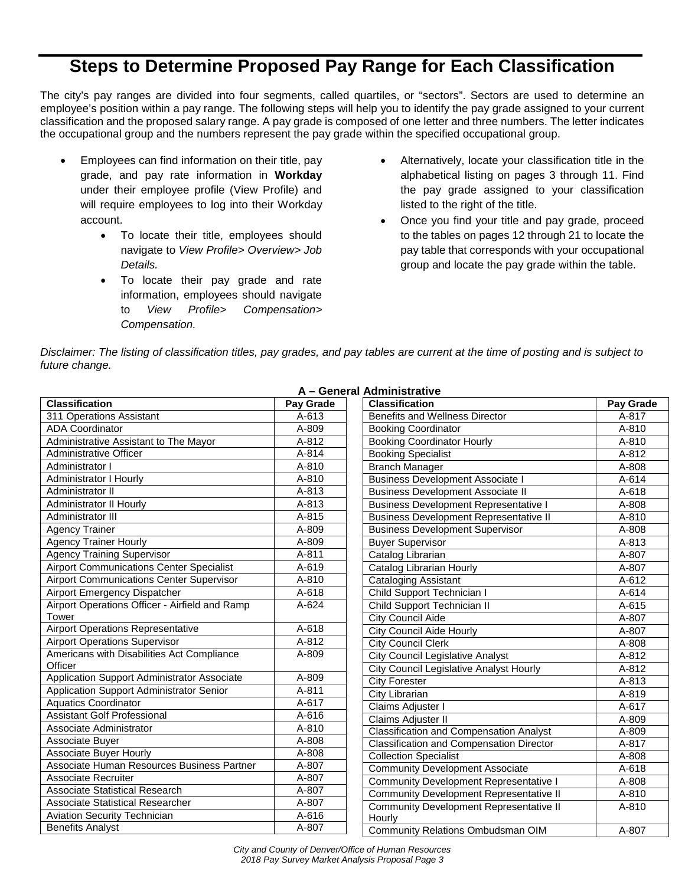# **Steps to Determine Proposed Pay Range for Each Classification**

The city's pay ranges are divided into four segments, called quartiles, or "sectors". Sectors are used to determine an employee's position within a pay range. The following steps will help you to identify the pay grade assigned to your current classification and the proposed salary range. A pay grade is composed of one letter and three numbers. The letter indicates the occupational group and the numbers represent the pay grade within the specified occupational group.

- Employees can find information on their title, pay grade, and pay rate information in **Workday** under their employee profile (View Profile) and will require employees to log into their Workday account.
	- To locate their title, employees should navigate to *View Profile> Overview> Job Details.*
	- To locate their pay grade and rate information, employees should navigate to *View Profile> Compensation> Compensation.*
- Alternatively, locate your classification title in the alphabetical listing on pages 3 through 11. Find the pay grade assigned to your classification listed to the right of the title.
- Once you find your title and pay grade, proceed to the tables on pages 12 through 21 to locate the pay table that corresponds with your occupational group and locate the pay grade within the table.

*Disclaimer: The listing of classification titles, pay grades, and pay tables are current at the time of posting and is subject to future change.*

| <b>Classification</b>                           | Pay Grade | <b>Classification</b>                           | Pay Grade |
|-------------------------------------------------|-----------|-------------------------------------------------|-----------|
| 311 Operations Assistant                        | $A - 613$ | <b>Benefits and Wellness Director</b>           | A-817     |
| <b>ADA Coordinator</b>                          | A-809     | <b>Booking Coordinator</b>                      | A-810     |
| Administrative Assistant to The Mayor           | A-812     | <b>Booking Coordinator Hourly</b>               | A-810     |
| Administrative Officer                          | A-814     | <b>Booking Specialist</b>                       | A-812     |
| Administrator I                                 | A-810     | <b>Branch Manager</b>                           | A-808     |
| <b>Administrator I Hourly</b>                   | A-810     | <b>Business Development Associate I</b>         | A-614     |
| Administrator II                                | $A - 813$ | <b>Business Development Associate II</b>        | A-618     |
| Administrator II Hourly                         | A-813     | <b>Business Development Representative I</b>    | A-808     |
| Administrator III                               | $A - 815$ | <b>Business Development Representative II</b>   | A-810     |
| <b>Agency Trainer</b>                           | A-809     | <b>Business Development Supervisor</b>          | A-808     |
| <b>Agency Trainer Hourly</b>                    | A-809     | <b>Buyer Supervisor</b>                         | A-813     |
| <b>Agency Training Supervisor</b>               | A-811     | Catalog Librarian                               | A-807     |
| <b>Airport Communications Center Specialist</b> | A-619     | Catalog Librarian Hourly                        | A-807     |
| <b>Airport Communications Center Supervisor</b> | A-810     | <b>Cataloging Assistant</b>                     | A-612     |
| <b>Airport Emergency Dispatcher</b>             | A-618     | Child Support Technician I                      | A-614     |
| Airport Operations Officer - Airfield and Ramp  | A-624     | Child Support Technician II                     | A-615     |
| Tower                                           |           | <b>City Council Aide</b>                        | A-807     |
| <b>Airport Operations Representative</b>        | A-618     | <b>City Council Aide Hourly</b>                 | A-807     |
| <b>Airport Operations Supervisor</b>            | A-812     | <b>City Council Clerk</b>                       | A-808     |
| Americans with Disabilities Act Compliance      | A-809     | City Council Legislative Analyst                | A-812     |
| Officer                                         |           | City Council Legislative Analyst Hourly         | A-812     |
| Application Support Administrator Associate     | A-809     | <b>City Forester</b>                            | A-813     |
| Application Support Administrator Senior        | A-811     | City Librarian                                  | A-819     |
| <b>Aquatics Coordinator</b>                     | A-617     | Claims Adjuster I                               | A-617     |
| <b>Assistant Golf Professional</b>              | A-616     | Claims Adjuster II                              | A-809     |
| Associate Administrator                         | A-810     | <b>Classification and Compensation Analyst</b>  | A-809     |
| Associate Buyer                                 | A-808     | <b>Classification and Compensation Director</b> | A-817     |
| Associate Buyer Hourly                          | A-808     | <b>Collection Specialist</b>                    | A-808     |
| Associate Human Resources Business Partner      | A-807     | <b>Community Development Associate</b>          | A-618     |
| Associate Recruiter                             | A-807     | <b>Community Development Representative I</b>   | A-808     |
| <b>Associate Statistical Research</b>           | A-807     | <b>Community Development Representative II</b>  | A-810     |
| <b>Associate Statistical Researcher</b>         | A-807     | Community Development Representative II         | A-810     |
| <b>Aviation Security Technician</b>             | A-616     | Hourly                                          |           |
| <b>Benefits Analyst</b>                         | A-807     | Community Relations Ombudsman OIM               | A-807     |

**A – General Administrative**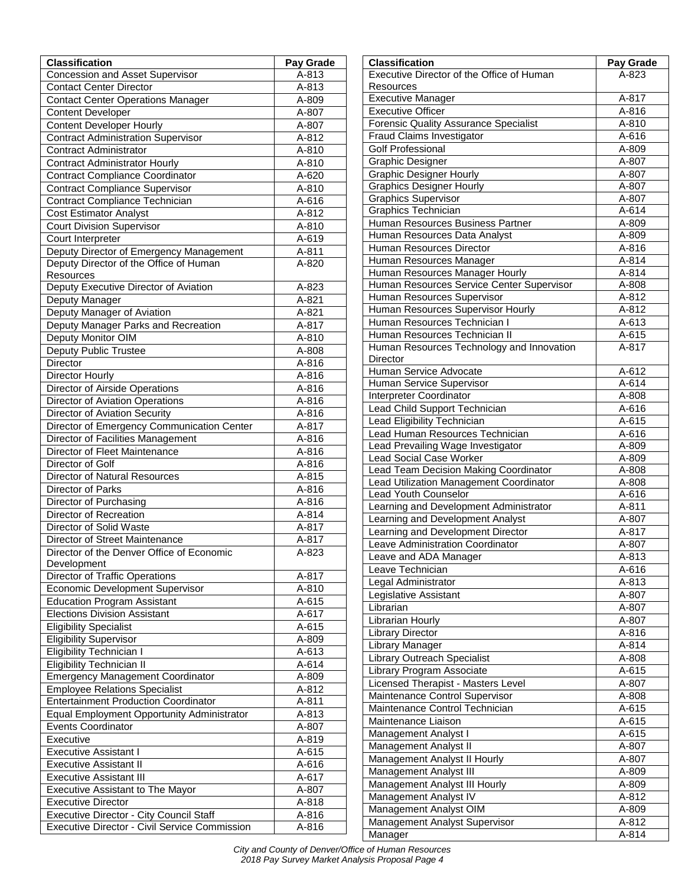| <b>Classification</b>                          | Pay Grade |
|------------------------------------------------|-----------|
| <b>Concession and Asset Supervisor</b>         | A-813     |
| <b>Contact Center Director</b>                 | A-813     |
| <b>Contact Center Operations Manager</b>       | A-809     |
| <b>Content Developer</b>                       | A-807     |
| <b>Content Developer Hourly</b>                | A-807     |
| <b>Contract Administration Supervisor</b>      | A-812     |
| <b>Contract Administrator</b>                  | A-810     |
| <b>Contract Administrator Hourly</b>           | A-810     |
| <b>Contract Compliance Coordinator</b>         | A-620     |
| <b>Contract Compliance Supervisor</b>          | A-810     |
| Contract Compliance Technician                 | A-616     |
| <b>Cost Estimator Analyst</b>                  | A-812     |
| <b>Court Division Supervisor</b>               | A-810     |
| Court Interpreter                              | A-619     |
| Deputy Director of Emergency Management        | A-811     |
| Deputy Director of the Office of Human         | A-820     |
| Resources                                      |           |
| Deputy Executive Director of Aviation          | A-823     |
| Deputy Manager                                 | A-821     |
| Deputy Manager of Aviation                     | A-821     |
| Deputy Manager Parks and Recreation            | A-817     |
| Deputy Monitor OIM                             | A-810     |
| <b>Deputy Public Trustee</b>                   | A-808     |
| <b>Director</b>                                | A-816     |
| Director Hourly                                | A-816     |
| Director of Airside Operations                 | A-816     |
| <b>Director of Aviation Operations</b>         | A-816     |
| Director of Aviation Security                  | A-816     |
| Director of Emergency Communication Center     | A-817     |
| Director of Facilities Management              | A-816     |
| Director of Fleet Maintenance                  | A-816     |
| Director of Golf                               | A-816     |
| Director of Natural Resources                  | A-815     |
| Director of Parks                              | A-816     |
| Director of Purchasing                         | A-816     |
| Director of Recreation                         | A-814     |
| Director of Solid Waste                        | A-817     |
| Director of Street Maintenance                 | A-817     |
| Director of the Denver Office of Economic      | A-823     |
| Development                                    |           |
| Director of Traffic Operations                 | A-817     |
| <b>Economic Development Supervisor</b>         | A-810     |
| <b>Education Program Assistant</b>             | A-615     |
| <b>Elections Division Assistant</b>            | A-617     |
| <b>Eligibility Specialist</b>                  | A-615     |
| <b>Eligibility Supervisor</b>                  | A-809     |
| Eligibility Technician I                       | A-613     |
| Eligibility Technician II                      | A-614     |
| <b>Emergency Management Coordinator</b>        | A-809     |
| <b>Employee Relations Specialist</b>           | A-812     |
| <b>Entertainment Production Coordinator</b>    | A-811     |
| Equal Employment Opportunity Administrator     | A-813     |
| Events Coordinator                             | A-807     |
| Executive                                      | A-819     |
| <b>Executive Assistant I</b>                   | A-615     |
| <b>Executive Assistant II</b>                  | A-616     |
| <b>Executive Assistant III</b>                 | A-617     |
| <b>Executive Assistant to The Mayor</b>        | A-807     |
| <b>Executive Director</b>                      | A-818     |
| <b>Executive Director - City Council Staff</b> | A-816     |
| Executive Director - Civil Service Commission  | A-816     |

| <b>Classification</b>                                   | Pay Grade      |
|---------------------------------------------------------|----------------|
| Executive Director of the Office of Human               | A-823          |
| Resources                                               |                |
| <b>Executive Manager</b>                                | A-817          |
| <b>Executive Officer</b>                                | A-816          |
| <b>Forensic Quality Assurance Specialist</b>            | A-810          |
| Fraud Claims Investigator                               | A-616          |
| <b>Golf Professional</b>                                | A-809          |
| <b>Graphic Designer</b>                                 | A-807          |
| <b>Graphic Designer Hourly</b>                          | A-807          |
| <b>Graphics Designer Hourly</b>                         | A-807          |
| <b>Graphics Supervisor</b>                              | A-807          |
| Graphics Technician<br>Human Resources Business Partner | A-614          |
| Human Resources Data Analyst                            | A-809<br>A-809 |
| Human Resources Director                                | A-816          |
| Human Resources Manager                                 | A-814          |
| Human Resources Manager Hourly                          | A-814          |
| Human Resources Service Center Supervisor               | A-808          |
| Human Resources Supervisor                              | A-812          |
| Human Resources Supervisor Hourly                       | A-812          |
| Human Resources Technician I                            | A-613          |
| Human Resources Technician II                           | A-615          |
| Human Resources Technology and Innovation               | A-817          |
| Director                                                |                |
| Human Service Advocate                                  | A-612          |
| Human Service Supervisor                                | A-614          |
| Interpreter Coordinator                                 | A-808          |
| Lead Child Support Technician                           | A-616          |
| Lead Eligibility Technician                             | A-615          |
| Lead Human Resources Technician                         | A-616          |
| Lead Prevailing Wage Investigator                       | A-809          |
| Lead Social Case Worker                                 | A-809          |
| Lead Team Decision Making Coordinator                   | A-808          |
| Lead Utilization Management Coordinator                 | A-808          |
| <b>Lead Youth Counselor</b>                             | A-616          |
| Learning and Development Administrator                  | A-811          |
| Learning and Development Analyst                        | A-807          |
| Learning and Development Director                       | A-817          |
| Leave Administration Coordinator                        | A-807          |
| Leave and ADA Manager                                   | A-813          |
| Leave Technician<br>Legal Administrator                 | A-616<br>A-813 |
| Legislative Assistant                                   | A-807          |
| Librarian                                               | A-807          |
| Librarian Hourly                                        | A-807          |
| <b>Library Director</b>                                 | A-816          |
| Library Manager                                         | A-814          |
| Library Outreach Specialist                             | A-808          |
| Library Program Associate                               | A-615          |
| Licensed Therapist - Masters Level                      | A-807          |
| Maintenance Control Supervisor                          | A-808          |
| Maintenance Control Technician                          | A-615          |
| Maintenance Liaison                                     | A-615          |
| Management Analyst I                                    | A-615          |
| Management Analyst II                                   | A-807          |
| Management Analyst II Hourly                            | A-807          |
| Management Analyst III                                  | A-809          |
| Management Analyst III Hourly                           | A-809          |
| Management Analyst IV                                   | A-812          |
| Management Analyst OIM                                  | A-809          |
| Management Analyst Supervisor                           | A-812          |
| Manager                                                 | A-814          |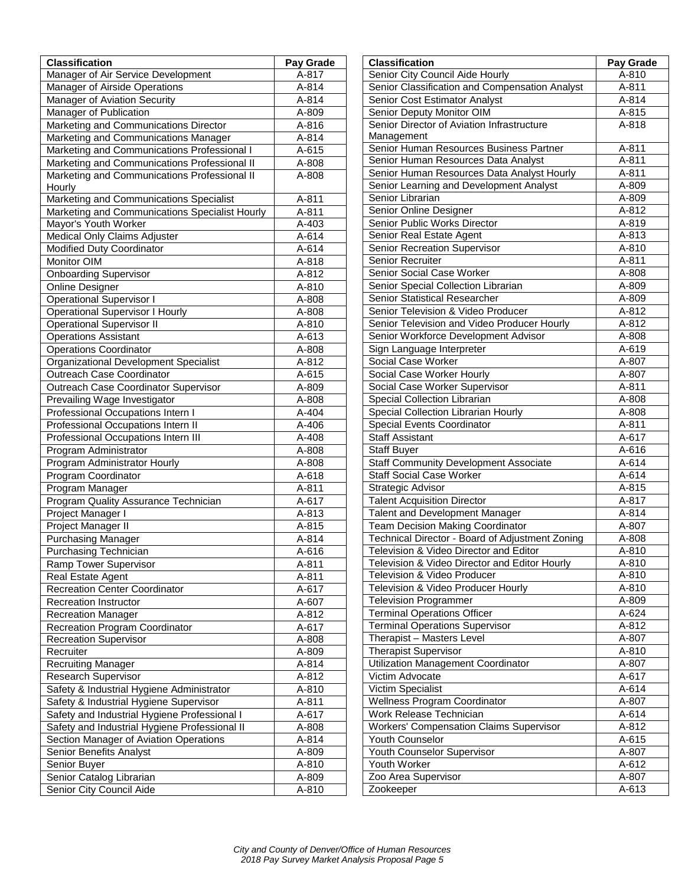| <b>Classification</b>                                  | Pay Grade      |
|--------------------------------------------------------|----------------|
| Manager of Air Service Development                     | A-817          |
| Manager of Airside Operations                          | A-814          |
| Manager of Aviation Security                           | A-814          |
| Manager of Publication                                 | A-809          |
| Marketing and Communications Director                  | A-816          |
| Marketing and Communications Manager                   | A-814          |
| Marketing and Communications Professional I            | A-615          |
| Marketing and Communications Professional II           | A-808          |
| Marketing and Communications Professional II<br>Hourly | A-808          |
| Marketing and Communications Specialist                | A-811          |
| Marketing and Communications Specialist Hourly         | A-811          |
| Mayor's Youth Worker                                   | A-403          |
| Medical Only Claims Adjuster                           | A-614          |
| Modified Duty Coordinator                              | A-614          |
| Monitor OIM                                            | A-818          |
| <b>Onboarding Supervisor</b>                           | A-812          |
| <b>Online Designer</b>                                 | A-810          |
| <b>Operational Supervisor I</b>                        | A-808          |
| <b>Operational Supervisor I Hourly</b>                 | A-808          |
| <b>Operational Supervisor II</b>                       | A-810          |
| <b>Operations Assistant</b>                            | A-613          |
| <b>Operations Coordinator</b>                          | A-808          |
| <b>Organizational Development Specialist</b>           | A-812          |
| Outreach Case Coordinator                              | A-615          |
| Outreach Case Coordinator Supervisor                   | A-809          |
| Prevailing Wage Investigator                           | A-808          |
| Professional Occupations Intern I                      | A-404          |
| Professional Occupations Intern II                     | A-406          |
| Professional Occupations Intern III                    | A-408          |
| Program Administrator                                  | A-808          |
| Program Administrator Hourly                           | A-808          |
| Program Coordinator<br>Program Manager                 | A-618<br>A-811 |
| Program Quality Assurance Technician                   | A-617          |
| Project Manager I                                      | A-813          |
| Project Manager II                                     | A-815          |
| <b>Purchasing Manager</b>                              | A-814          |
| Purchasing Technician                                  | A-616          |
| Ramp Tower Supervisor                                  | A-811          |
| Real Estate Agent                                      | A-811          |
| <b>Recreation Center Coordinator</b>                   | A-617          |
| <b>Recreation Instructor</b>                           | A-607          |
| <b>Recreation Manager</b>                              | A-812          |
| <b>Recreation Program Coordinator</b>                  | A-617          |
| Recreation Supervisor                                  | A-808          |
| Recruiter                                              | A-809          |
| <b>Recruiting Manager</b>                              | A-814          |
| Research Supervisor                                    | A-812          |
| Safety & Industrial Hygiene Administrator              | A-810          |
| Safety & Industrial Hygiene Supervisor                 | A-811          |
| Safety and Industrial Hygiene Professional I           | A-617          |
| Safety and Industrial Hygiene Professional II          | A-808          |
| Section Manager of Aviation Operations                 | A-814          |
| Senior Benefits Analyst                                | A-809          |
| Senior Buyer                                           | A-810          |
| Senior Catalog Librarian                               | A-809          |
| Senior City Council Aide                               | A-810          |

| <b>Classification</b>                           | Pay Grade      |
|-------------------------------------------------|----------------|
| Senior City Council Aide Hourly                 | A-810          |
| Senior Classification and Compensation Analyst  | A-811          |
| Senior Cost Estimator Analyst                   | A-814          |
| Senior Deputy Monitor OIM                       | A-815          |
| Senior Director of Aviation Infrastructure      | A-818          |
| Management                                      |                |
| Senior Human Resources Business Partner         | $A - 811$      |
| Senior Human Resources Data Analyst             | A-811          |
| Senior Human Resources Data Analyst Hourly      | A-811          |
| Senior Learning and Development Analyst         | A-809          |
| Senior Librarian                                | A-809          |
| Senior Online Designer                          | A-812          |
| Senior Public Works Director                    | A-819          |
| Senior Real Estate Agent                        | A-813          |
| Senior Recreation Supervisor                    | A-810          |
| Senior Recruiter                                | A-811          |
| Senior Social Case Worker                       | A-808          |
| Senior Special Collection Librarian             | A-809          |
| Senior Statistical Researcher                   | A-809          |
| Senior Television & Video Producer              | A-812          |
| Senior Television and Video Producer Hourly     | A-812          |
| Senior Workforce Development Advisor            | A-808          |
| Sign Language Interpreter                       | A-619          |
| Social Case Worker                              | A-807          |
| Social Case Worker Hourly                       | A-807          |
| Social Case Worker Supervisor                   | A-811          |
| Special Collection Librarian                    | A-808          |
| Special Collection Librarian Hourly             |                |
| <b>Special Events Coordinator</b>               | A-808<br>A-811 |
| <b>Staff Assistant</b>                          | $A-617$        |
| Staff Buyer                                     | A-616          |
| <b>Staff Community Development Associate</b>    | A-614          |
| <b>Staff Social Case Worker</b>                 |                |
|                                                 | A-614          |
| Strategic Advisor                               | A-815          |
| <b>Talent Acquisition Director</b>              | A-817          |
| Talent and Development Manager                  | $A - 814$      |
| <b>Team Decision Making Coordinator</b>         | A-807          |
| Technical Director - Board of Adjustment Zoning | A-808          |
| Television & Video Director and Editor          | A-810          |
| Television & Video Director and Editor Hourly   | A-810          |
| Television & Video Producer                     | A-810          |
| Television & Video Producer Hourly              | A-810          |
| <b>Television Programmer</b>                    | A-809          |
| <b>Terminal Operations Officer</b>              | A-624          |
| <b>Terminal Operations Supervisor</b>           | A-812          |
| Therapist - Masters Level                       | A-807          |
| <b>Therapist Supervisor</b>                     | A-810          |
| Utilization Management Coordinator              | A-807          |
| Victim Advocate                                 | A-617          |
| Victim Specialist                               | A-614          |
| Wellness Program Coordinator                    | A-807          |
| Work Release Technician                         | A-614          |
| <b>Workers' Compensation Claims Supervisor</b>  | A-812          |
| Youth Counselor                                 | A-615          |
| Youth Counselor Supervisor                      | A-807          |
| Youth Worker                                    | A-612          |
| Zoo Area Supervisor                             | A-807          |
| Zookeeper                                       | A-613          |
|                                                 |                |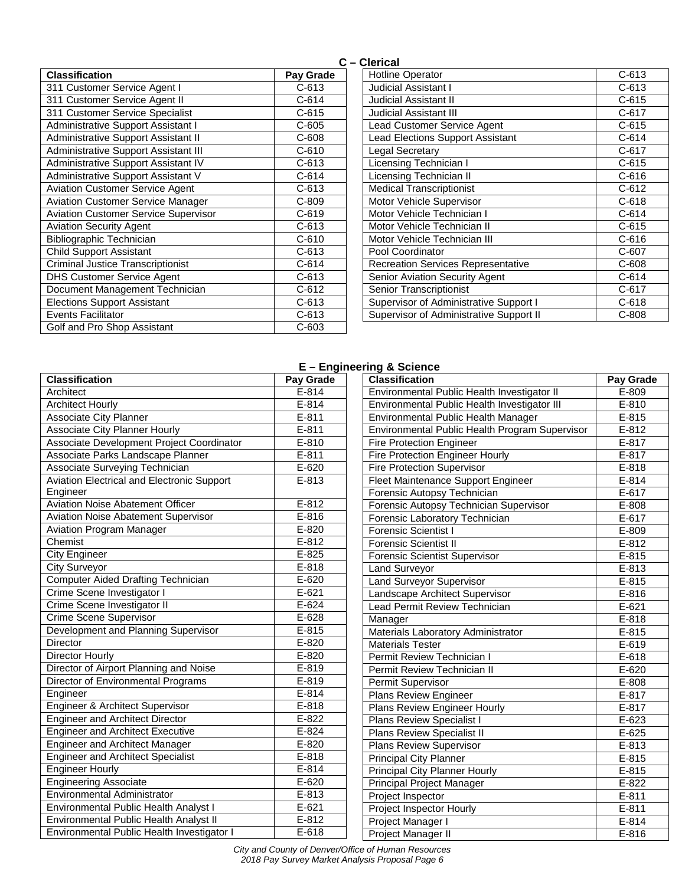|                                             | ັ         |
|---------------------------------------------|-----------|
| <b>Classification</b>                       | Pay Grade |
| 311 Customer Service Agent I                | $C-613$   |
| 311 Customer Service Agent II               | C-614     |
| 311 Customer Service Specialist             | $C-615$   |
| Administrative Support Assistant I          | $C-605$   |
| Administrative Support Assistant II         | $C - 608$ |
| <b>Administrative Support Assistant III</b> | $C-610$   |
| Administrative Support Assistant IV         | $C - 613$ |
| Administrative Support Assistant V          | $C - 614$ |
| <b>Aviation Customer Service Agent</b>      | $C-613$   |
| <b>Aviation Customer Service Manager</b>    | $C-809$   |
| <b>Aviation Customer Service Supervisor</b> | $C-619$   |
| <b>Aviation Security Agent</b>              | $C-613$   |
| Bibliographic Technician                    | $C-610$   |
| <b>Child Support Assistant</b>              | $C-613$   |
| Criminal Justice Transcriptionist           | $C - 614$ |
| <b>DHS Customer Service Agent</b>           | C-613     |
| Document Management Technician              | $C-612$   |
| <b>Elections Support Assistant</b>          | $C-613$   |
| <b>Events Facilitator</b>                   | C-613     |
| Golf and Pro Shop Assistant                 | $C-603$   |

## **C – Clerical**

| <b>Hotline Operator</b>                   | $C - 613$ |
|-------------------------------------------|-----------|
| <b>Judicial Assistant I</b>               | $C - 613$ |
| <b>Judicial Assistant II</b>              | $C-615$   |
| Judicial Assistant III                    | $C-617$   |
| Lead Customer Service Agent               | $C-615$   |
| <b>Lead Elections Support Assistant</b>   | $C-614$   |
| Legal Secretary                           | $C-617$   |
| Licensing Technician I                    | $C-615$   |
| <b>Licensing Technician II</b>            | $C - 616$ |
| <b>Medical Transcriptionist</b>           | $C-612$   |
| Motor Vehicle Supervisor                  | $C-618$   |
| Motor Vehicle Technician I                | $C-614$   |
| Motor Vehicle Technician II               | $C-615$   |
| Motor Vehicle Technician III              | C-616     |
| Pool Coordinator                          | $C-607$   |
| <b>Recreation Services Representative</b> | $C-608$   |
| <b>Senior Aviation Security Agent</b>     | C-614     |
| Senior Transcriptionist                   | $C-617$   |
| Supervisor of Administrative Support I    | $C-618$   |
| Supervisor of Administrative Support II   | $C-808$   |

## **E – Engineering & Science**

| <b>Classification</b>                      | Pay Grade           | <b>Classification</b>                          | Pay Grade |
|--------------------------------------------|---------------------|------------------------------------------------|-----------|
| Architect                                  | $E-814$             | Environmental Public Health Investigator II    | E-809     |
| <b>Architect Hourly</b>                    | $E-814$             | Environmental Public Health Investigator III   | E-810     |
| <b>Associate City Planner</b>              | $E-811$             | Environmental Public Health Manager            | E-815     |
| <b>Associate City Planner Hourly</b>       | $E-811$             | Environmental Public Health Program Supervisor | $E-812$   |
| Associate Development Project Coordinator  | $E - 810$           | <b>Fire Protection Engineer</b>                | E-817     |
| Associate Parks Landscape Planner          | $E-811$             | <b>Fire Protection Engineer Hourly</b>         | E-817     |
| Associate Surveying Technician             | $E-620$             | <b>Fire Protection Supervisor</b>              | E-818     |
| Aviation Electrical and Electronic Support | E-813               | Fleet Maintenance Support Engineer             | $E-814$   |
| Engineer                                   |                     | Forensic Autopsy Technician                    | E-617     |
| <b>Aviation Noise Abatement Officer</b>    | $E-812$             | Forensic Autopsy Technician Supervisor         | E-808     |
| <b>Aviation Noise Abatement Supervisor</b> | $E-816$             | Forensic Laboratory Technician                 | E-617     |
| <b>Aviation Program Manager</b>            | $E-820$             | <b>Forensic Scientist I</b>                    | E-809     |
| Chemist                                    | $E-812$             | <b>Forensic Scientist II</b>                   | $E-812$   |
| <b>City Engineer</b>                       | E-825               | <b>Forensic Scientist Supervisor</b>           | $E-815$   |
| <b>City Surveyor</b>                       | $E-818$             | Land Surveyor                                  | E-813     |
| <b>Computer Aided Drafting Technician</b>  | $E-620$             | <b>Land Surveyor Supervisor</b>                | $E-815$   |
| Crime Scene Investigator I                 | $E-621$             | Landscape Architect Supervisor                 | E-816     |
| Crime Scene Investigator II                | $E-624$             | Lead Permit Review Technician                  | $E-621$   |
| <b>Crime Scene Supervisor</b>              | $E-628$             | Manager                                        | E-818     |
| Development and Planning Supervisor        | E-815               | Materials Laboratory Administrator             | E-815     |
| <b>Director</b>                            | $\overline{E}$ -820 | <b>Materials Tester</b>                        | $E-619$   |
| Director Hourly                            | $\overline{E}$ -820 | Permit Review Technician I                     | E-618     |
| Director of Airport Planning and Noise     | E-819               | Permit Review Technician II                    | $E-620$   |
| Director of Environmental Programs         | $E-819$             | Permit Supervisor                              | E-808     |
| Engineer                                   | $E-814$             | Plans Review Engineer                          | E-817     |
| Engineer & Architect Supervisor            | E-818               | Plans Review Engineer Hourly                   | E-817     |
| <b>Engineer and Architect Director</b>     | E-822               | <b>Plans Review Specialist I</b>               | E-623     |
| <b>Engineer and Architect Executive</b>    | $E-824$             | <b>Plans Review Specialist II</b>              | E-625     |
| <b>Engineer and Architect Manager</b>      | E-820               | Plans Review Supervisor                        | E-813     |
| <b>Engineer and Architect Specialist</b>   | $E-818$             | <b>Principal City Planner</b>                  | E-815     |
| <b>Engineer Hourly</b>                     | $E-814$             | <b>Principal City Planner Hourly</b>           | E-815     |
| <b>Engineering Associate</b>               | $E-620$             | Principal Project Manager                      | E-822     |
| <b>Environmental Administrator</b>         | E-813               | Project Inspector                              | $E-811$   |
| Environmental Public Health Analyst I      | $E-621$             | Project Inspector Hourly                       | $E-811$   |
| Environmental Public Health Analyst II     | $E-812$             | Project Manager I                              | $E - 814$ |
| Environmental Public Health Investigator I | $E-618$             | Project Manager II                             | E-816     |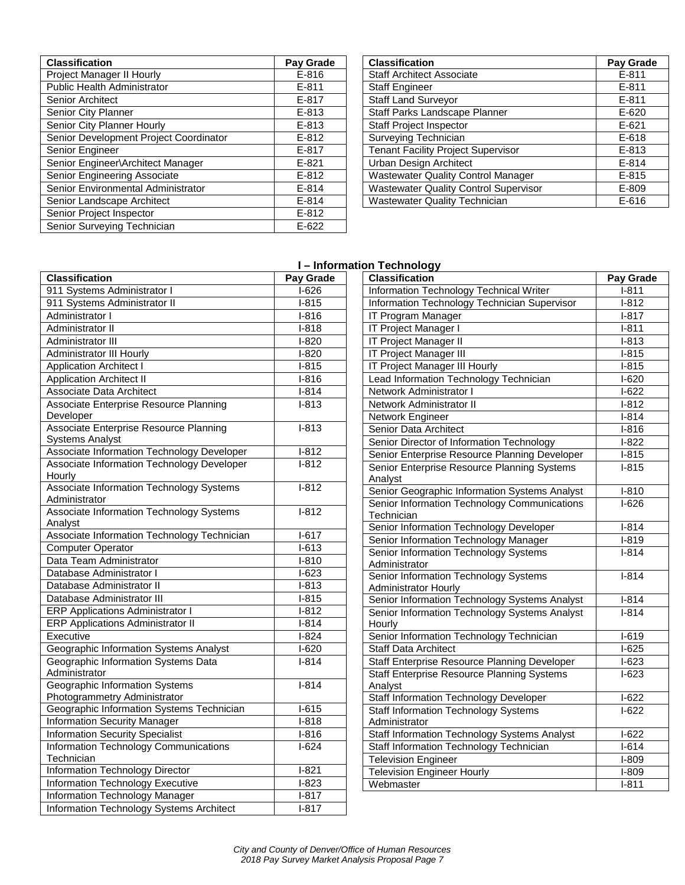| <b>Classification</b>                  | Pay Grade |
|----------------------------------------|-----------|
| Project Manager II Hourly              | $E - 816$ |
| <b>Public Health Administrator</b>     | $E - 811$ |
| <b>Senior Architect</b>                | $E-817$   |
| Senior City Planner                    | $E - 813$ |
| Senior City Planner Hourly             | $E - 813$ |
| Senior Development Project Coordinator | $E - 812$ |
| Senior Engineer                        | $E - 817$ |
| Senior Engineer\Architect Manager      | $E - 821$ |
| Senior Engineering Associate           | $E - 812$ |
| Senior Environmental Administrator     | $E - 814$ |
| Senior Landscape Architect             | $E - 814$ |
| Senior Project Inspector               | $E - 812$ |
| Senior Surveying Technician            | $E-622$   |

| <b>Classification</b>                        | Pay Grade |
|----------------------------------------------|-----------|
| <b>Staff Architect Associate</b>             | $E - 811$ |
| <b>Staff Engineer</b>                        | $E - 811$ |
| <b>Staff Land Surveyor</b>                   | $E - 811$ |
| Staff Parks Landscape Planner                | $E - 620$ |
| <b>Staff Project Inspector</b>               | $E - 621$ |
| Surveying Technician                         | $E-618$   |
| <b>Tenant Facility Project Supervisor</b>    | $E - 813$ |
| Urban Design Architect                       | $E - 814$ |
| <b>Wastewater Quality Control Manager</b>    | $E - 815$ |
| <b>Wastewater Quality Control Supervisor</b> | E-809     |
| <b>Wastewater Quality Technician</b>         | E-616     |

# **I – Information Technology**

|                                                                  | .         |
|------------------------------------------------------------------|-----------|
| <b>Classification</b>                                            | Pay Grade |
| 911 Systems Administrator I                                      | $I-626$   |
| 911 Systems Administrator II                                     | $I-815$   |
| Administrator I                                                  | $I-816$   |
| Administrator II                                                 | $I-818$   |
| Administrator III                                                | $I-820$   |
| <b>Administrator III Hourly</b>                                  | $1 - 820$ |
| <b>Application Architect I</b>                                   | $I-815$   |
| <b>Application Architect II</b>                                  | $1 - 816$ |
| <b>Associate Data Architect</b>                                  | $I-814$   |
| Associate Enterprise Resource Planning<br>Developer              | $I-813$   |
| Associate Enterprise Resource Planning<br><b>Systems Analyst</b> | $I-813$   |
| Associate Information Technology Developer                       | $I-812$   |
| Associate Information Technology Developer<br>Hourly             | $1 - 812$ |
| Associate Information Technology Systems<br>Administrator        | $1 - 812$ |
| Associate Information Technology Systems<br>Analyst              | $I-812$   |
| Associate Information Technology Technician                      | $I-617$   |
| <b>Computer Operator</b>                                         | $1 - 613$ |
| Data Team Administrator                                          | $I-810$   |
| Database Administrator I                                         | $I-623$   |
| Database Administrator II                                        | $I-813$   |
| Database Administrator III                                       | $I-815$   |
| <b>ERP Applications Administrator I</b>                          | $I-812$   |
| <b>ERP Applications Administrator II</b>                         | $I-814$   |
| Executive                                                        | $1 - 824$ |
| Geographic Information Systems Analyst                           | $I-620$   |
| Geographic Information Systems Data<br>Administrator             | $1 - 814$ |
| Geographic Information Systems<br>Photogrammetry Administrator   | $1 - 814$ |
| Geographic Information Systems Technician                        | $I-615$   |
| <b>Information Security Manager</b>                              | $1 - 818$ |
| <b>Information Security Specialist</b>                           | $I-816$   |
| Information Technology Communications                            | $1-624$   |
| Technician<br>Information Technology Director                    | $1 - 821$ |
| Information Technology Executive                                 | $1 - 823$ |
| Information Technology Manager                                   | $I-817$   |
|                                                                  | $I-817$   |
| Information Technology Systems Architect                         |           |

| Classification                                               | Pay Grade          |
|--------------------------------------------------------------|--------------------|
| <b>Information Technology Technical Writer</b>               | $I-811$            |
| Information Technology Technician Supervisor                 | $1-812$            |
| IT Program Manager                                           | $I-817$            |
| IT Project Manager I                                         | $I-811$            |
| IT Project Manager II                                        | $I-813$            |
| IT Project Manager III                                       | $I-815$            |
| IT Project Manager III Hourly                                | $I-815$            |
| Lead Information Technology Technician                       | $I-620$            |
| Network Administrator I                                      | $I-622$            |
| Network Administrator II                                     | $1-812$            |
| Network Engineer                                             | $I-814$            |
| Senior Data Architect                                        | $I-816$            |
| Senior Director of Information Technology                    | $I-822$            |
| Senior Enterprise Resource Planning Developer                | $I-815$            |
| Senior Enterprise Resource Planning Systems                  | $I-815$            |
| Analyst<br>Senior Geographic Information Systems Analyst     |                    |
| Senior Information Technology Communications                 | $I-810$<br>$1-626$ |
| Technician                                                   |                    |
| Senior Information Technology Developer                      | $I-814$            |
| Senior Information Technology Manager                        | $I-819$            |
| Senior Information Technology Systems                        | $1 - 814$          |
| Administrator                                                |                    |
| Senior Information Technology Systems                        | $1 - 814$          |
| <b>Administrator Hourly</b>                                  |                    |
| Senior Information Technology Systems Analyst                | $I-814$            |
| Senior Information Technology Systems Analyst<br>Hourly      | $I-814$            |
| Senior Information Technology Technician                     | $I-619$            |
| <b>Staff Data Architect</b>                                  | $I-625$            |
| Staff Enterprise Resource Planning Developer                 | $I-623$            |
| <b>Staff Enterprise Resource Planning Systems</b>            | $I-623$            |
| Analyst                                                      |                    |
| Staff Information Technology Developer                       | $I-622$            |
| <b>Staff Information Technology Systems</b><br>Administrator | $I-622$            |
| Staff Information Technology Systems Analyst                 | $I-622$            |
| Staff Information Technology Technician                      | $I-614$            |
| <b>Television Engineer</b>                                   | $I-809$            |
| <b>Television Engineer Hourly</b>                            | $I-809$            |
| Webmaster                                                    | $I-811$            |
|                                                              |                    |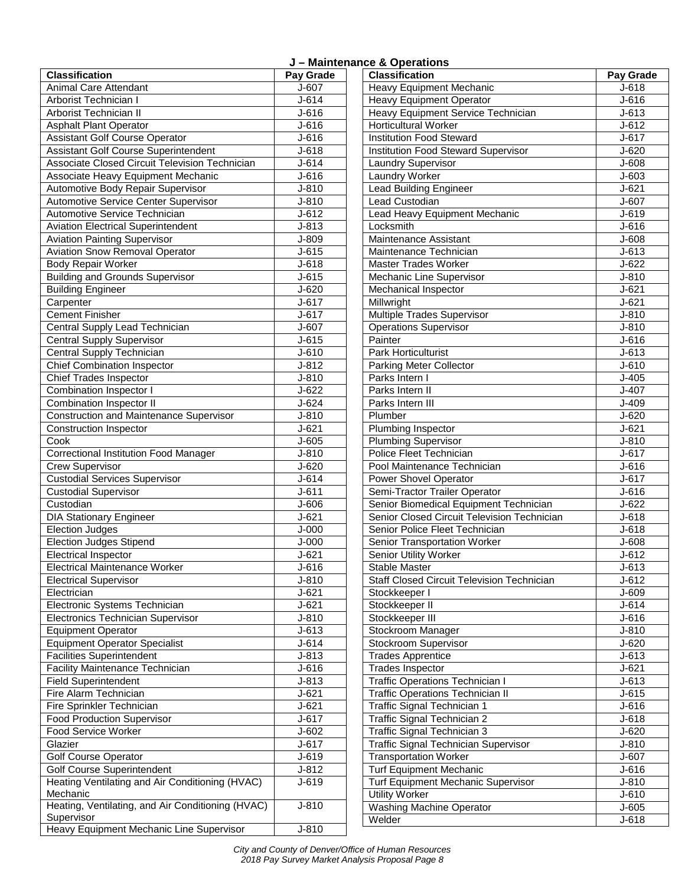| J - Maintenance & Operations |
|------------------------------|
|------------------------------|

| <b>Classification</b>                                           | Pay Grade |
|-----------------------------------------------------------------|-----------|
| <b>Animal Care Attendant</b>                                    | J-607     |
| Arborist Technician I                                           | $J - 614$ |
| Arborist Technician II                                          | $J-616$   |
| <b>Asphalt Plant Operator</b>                                   | $J - 616$ |
| <b>Assistant Golf Course Operator</b>                           | $J - 616$ |
| Assistant Golf Course Superintendent                            | $J - 618$ |
| Associate Closed Circuit Television Technician                  | $J - 614$ |
| Associate Heavy Equipment Mechanic                              | $J-616$   |
| Automotive Body Repair Supervisor                               | $J - 810$ |
| Automotive Service Center Supervisor                            | $J-810$   |
| Automotive Service Technician                                   | $J-612$   |
| <b>Aviation Electrical Superintendent</b>                       | $J-813$   |
| <b>Aviation Painting Supervisor</b>                             | J-809     |
| <b>Aviation Snow Removal Operator</b>                           | $J-615$   |
| <b>Body Repair Worker</b>                                       | $J-618$   |
| <b>Building and Grounds Supervisor</b>                          | $J-615$   |
| <b>Building Engineer</b>                                        | $J-620$   |
| Carpenter                                                       | $J - 617$ |
| <b>Cement Finisher</b>                                          | $J - 617$ |
| Central Supply Lead Technician                                  | J-607     |
| <b>Central Supply Supervisor</b>                                | $J-615$   |
| Central Supply Technician                                       | $J - 610$ |
| <b>Chief Combination Inspector</b>                              | $J-812$   |
| <b>Chief Trades Inspector</b>                                   | $J-810$   |
| Combination Inspector I                                         | $J-622$   |
| Combination Inspector II                                        | $J-624$   |
| Construction and Maintenance Supervisor                         | $J-810$   |
| Construction Inspector                                          | $J - 621$ |
| Cook                                                            | $J - 605$ |
| <b>Correctional Institution Food Manager</b>                    | $J-810$   |
| <b>Crew Supervisor</b>                                          | $J-620$   |
| <b>Custodial Services Supervisor</b>                            | $J-614$   |
| <b>Custodial Supervisor</b>                                     | $J - 611$ |
| Custodian                                                       | J-606     |
| <b>DIA Stationary Engineer</b>                                  | $J - 621$ |
| <b>Election Judges</b>                                          | $J-000$   |
| <b>Election Judges Stipend</b>                                  | $J-000$   |
| Electrical Inspector                                            | J-621     |
| <b>Electrical Maintenance Worker</b>                            | $J - 616$ |
| <b>Electrical Supervisor</b>                                    | J-810     |
| Electrician                                                     | $J - 621$ |
| Electronic Systems Technician                                   | $J - 621$ |
| Electronics Technician Supervisor                               | $J - 810$ |
| <b>Equipment Operator</b>                                       | $J-613$   |
| <b>Equipment Operator Specialist</b>                            | $J - 614$ |
| <b>Facilities Superintendent</b>                                | J-813     |
| <b>Facility Maintenance Technician</b>                          | $J-616$   |
| <b>Field Superintendent</b>                                     | $J - 813$ |
| Fire Alarm Technician                                           | $J - 621$ |
| Fire Sprinkler Technician                                       | $J - 621$ |
| <b>Food Production Supervisor</b>                               | $J-617$   |
| Food Service Worker                                             | $J - 602$ |
| Glazier                                                         | J-617     |
| <b>Golf Course Operator</b>                                     | J-619     |
| <b>Golf Course Superintendent</b>                               | $J-812$   |
| Heating Ventilating and Air Conditioning (HVAC)                 | J-619     |
| Mechanic                                                        |           |
| Heating, Ventilating, and Air Conditioning (HVAC)<br>Supervisor | $J-810$   |
| Heavy Equipment Mechanic Line Supervisor                        | $J-810$   |

| <del>σο α Ορο</del> ιαιισπο<br><b>Classification</b> | Pay Grade |
|------------------------------------------------------|-----------|
| <b>Heavy Equipment Mechanic</b>                      | $J - 618$ |
|                                                      |           |
| <b>Heavy Equipment Operator</b>                      | $J - 616$ |
| Heavy Equipment Service Technician                   | $J - 613$ |
| <b>Horticultural Worker</b>                          | $J - 612$ |
| <b>Institution Food Steward</b>                      | J-617     |
| <b>Institution Food Steward Supervisor</b>           | $J - 620$ |
| Laundry Supervisor                                   | J-608     |
| <b>Laundry Worker</b>                                | $J - 603$ |
| <b>Lead Building Engineer</b>                        | $J - 621$ |
| Lead Custodian                                       | J-607     |
| Lead Heavy Equipment Mechanic                        | J-619     |
| Locksmith                                            | $J - 616$ |
| Maintenance Assistant                                | J-608     |
| Maintenance Technician                               | $J-613$   |
| <b>Master Trades Worker</b>                          | $J-622$   |
| Mechanic Line Supervisor                             | $J-810$   |
| Mechanical Inspector                                 | $J - 621$ |
| Millwright                                           | $J - 621$ |
| <b>Multiple Trades Supervisor</b>                    | $J-810$   |
| Operations Supervisor                                | $J - 810$ |
| Painter                                              | $J-616$   |
| Park Horticulturist                                  | J-613     |
| Parking Meter Collector                              | $J - 610$ |
| Parks Intern I                                       | $J-405$   |
| Parks Intern II                                      | $J-407$   |
| Parks Intern III                                     | $J-409$   |
| Plumber                                              | $J - 620$ |
| Plumbing Inspector                                   | $J - 621$ |
| <b>Plumbing Supervisor</b>                           | $J-810$   |
| Police Fleet Technician                              | J-617     |
| Pool Maintenance Technician                          | J-616     |
| Power Shovel Operator                                | $J - 617$ |
| Semi-Tractor Trailer Operator                        | $J-616$   |
|                                                      |           |
| Senior Biomedical Equipment Technician               | $J-622$   |
| Senior Closed Circuit Television Technician          | $J - 618$ |
| Senior Police Fleet Technician                       | $J-618$   |
| Senior Transportation Worker                         | $J - 608$ |
| Senior Utility Worker                                | J-612     |
| Stable Master                                        | $J - 613$ |
| <b>Staff Closed Circuit Television Technician</b>    | J-612     |
| Stockkeeper I                                        | J-609     |
| Stockkeeper II                                       | $J - 614$ |
| Stockkeeper III                                      | $J-616$   |
| Stockroom Manager                                    | $J-810$   |
| Stockroom Supervisor                                 | $J - 620$ |
| <b>Trades Apprentice</b>                             | $J - 613$ |
| <b>Trades Inspector</b>                              | $J - 621$ |
| <b>Traffic Operations Technician I</b>               | J-613     |
| <b>Traffic Operations Technician II</b>              | $J - 615$ |
| Traffic Signal Technician 1                          | J-616     |
| Traffic Signal Technician 2                          | $J - 618$ |
| Traffic Signal Technician 3                          | $J-620$   |
| <b>Traffic Signal Technician Supervisor</b>          | $J-810$   |
| <b>Transportation Worker</b>                         | J-607     |
| <b>Turf Equipment Mechanic</b>                       | J-616     |
| Turf Equipment Mechanic Supervisor                   | $J-810$   |
| <b>Utility Worker</b>                                | $J - 610$ |
| <b>Washing Machine Operator</b>                      | $J-605$   |
| Welder                                               | $J-618$   |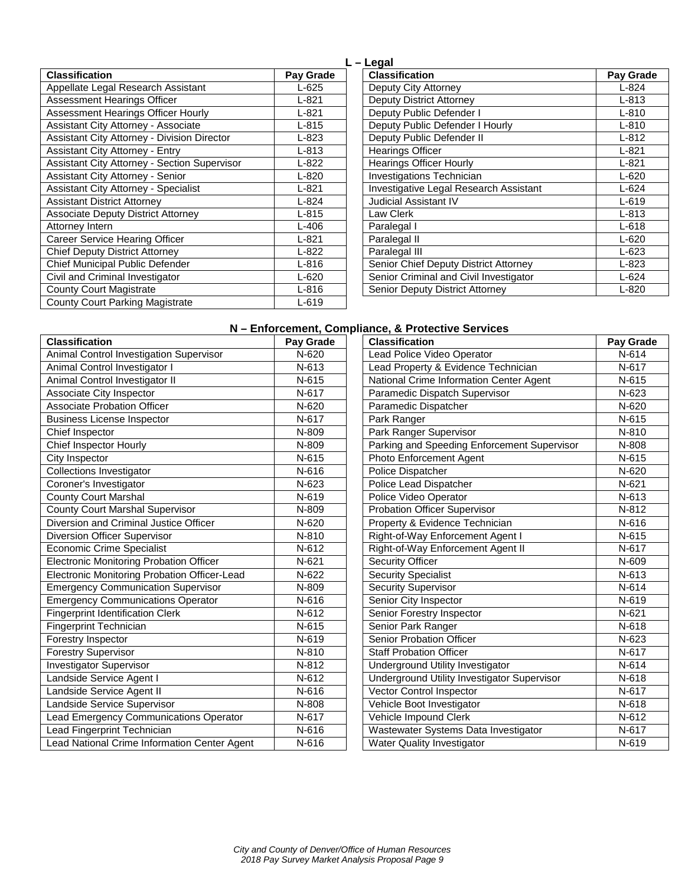| <b>Classification</b>                        | Pay Grade |
|----------------------------------------------|-----------|
| Appellate Legal Research Assistant           | $L-625$   |
| Assessment Hearings Officer                  | $L - 821$ |
| Assessment Hearings Officer Hourly           | $L - 821$ |
| <b>Assistant City Attorney - Associate</b>   | $L - 815$ |
| Assistant City Attorney - Division Director  | $L - 823$ |
| <b>Assistant City Attorney - Entry</b>       | $L - 813$ |
| Assistant City Attorney - Section Supervisor | L-822     |
| <b>Assistant City Attorney - Senior</b>      | $L - 820$ |
| <b>Assistant City Attorney - Specialist</b>  | $L - 821$ |
| <b>Assistant District Attorney</b>           | $L - 824$ |
| <b>Associate Deputy District Attorney</b>    | $L-815$   |
| Attorney Intern                              | $L-406$   |
| Career Service Hearing Officer               | $L - 821$ |
| <b>Chief Deputy District Attorney</b>        | $L - 822$ |
| Chief Municipal Public Defender              | $L-816$   |
| Civil and Criminal Investigator              | $L - 620$ |
| <b>County Court Magistrate</b>               | $L-816$   |
| <b>County Court Parking Magistrate</b>       | $L-619$   |

| L - Legal                              |           |
|----------------------------------------|-----------|
| <b>Classification</b>                  | Pay Grade |
| Deputy City Attorney                   | $L - 824$ |
| Deputy District Attorney               | $L - 813$ |
| Deputy Public Defender I               | $L - 810$ |
| Deputy Public Defender I Hourly        | $L - 810$ |
| Deputy Public Defender II              | $L - 812$ |
| <b>Hearings Officer</b>                | $L - 821$ |
| <b>Hearings Officer Hourly</b>         | $L - 821$ |
| <b>Investigations Technician</b>       | $L - 620$ |
| Investigative Legal Research Assistant | $L - 624$ |
| <b>Judicial Assistant IV</b>           | $L-619$   |
| Law Clerk                              | $L - 813$ |
| Paralegal I                            | $L-618$   |
| Paralegal II                           | $L-620$   |
| Paralegal III                          | $L-623$   |
| Senior Chief Deputy District Attorney  | $L - 823$ |
| Senior Criminal and Civil Investigator | $L - 624$ |
| <b>Senior Deputy District Attorney</b> | $L - 820$ |

## **N – Enforcement, Compliance, & Protective Services**

| <b>Classification</b>                          | Pay Grade | <b>Classification</b>                       | Pay Grade |
|------------------------------------------------|-----------|---------------------------------------------|-----------|
| Animal Control Investigation Supervisor        | $N-620$   | Lead Police Video Operator                  | $N-614$   |
| Animal Control Investigator I                  | N-613     | Lead Property & Evidence Technician         | N-617     |
| Animal Control Investigator II                 | N-615     | National Crime Information Center Agent     | N-615     |
| Associate City Inspector                       | N-617     | Paramedic Dispatch Supervisor               | N-623     |
| <b>Associate Probation Officer</b>             | N-620     | Paramedic Dispatcher                        | N-620     |
| <b>Business License Inspector</b>              | N-617     | Park Ranger                                 | N-615     |
| Chief Inspector                                | N-809     | Park Ranger Supervisor                      | N-810     |
| <b>Chief Inspector Hourly</b>                  | N-809     | Parking and Speeding Enforcement Supervisor | N-808     |
| City Inspector                                 | N-615     | Photo Enforcement Agent                     | N-615     |
| <b>Collections Investigator</b>                | N-616     | Police Dispatcher                           | N-620     |
| Coroner's Investigator                         | $N-623$   | Police Lead Dispatcher                      | N-621     |
| <b>County Court Marshal</b>                    | N-619     | Police Video Operator                       | N-613     |
| <b>County Court Marshal Supervisor</b>         | N-809     | Probation Officer Supervisor                | $N-812$   |
| Diversion and Criminal Justice Officer         | $N-620$   | Property & Evidence Technician              | $N-616$   |
| Diversion Officer Supervisor                   | N-810     | Right-of-Way Enforcement Agent I            | N-615     |
| <b>Economic Crime Specialist</b>               | N-612     | Right-of-Way Enforcement Agent II           | N-617     |
| <b>Electronic Monitoring Probation Officer</b> | N-621     | <b>Security Officer</b>                     | N-609     |
| Electronic Monitoring Probation Officer-Lead   | N-622     | <b>Security Specialist</b>                  | N-613     |
| <b>Emergency Communication Supervisor</b>      | N-809     | <b>Security Supervisor</b>                  | N-614     |
| <b>Emergency Communications Operator</b>       | N-616     | Senior City Inspector                       | N-619     |
| <b>Fingerprint Identification Clerk</b>        | N-612     | Senior Forestry Inspector                   | N-621     |
| Fingerprint Technician                         | N-615     | Senior Park Ranger                          | N-618     |
| Forestry Inspector                             | N-619     | Senior Probation Officer                    | N-623     |
| <b>Forestry Supervisor</b>                     | N-810     | <b>Staff Probation Officer</b>              | N-617     |
| <b>Investigator Supervisor</b>                 | N-812     | Underground Utility Investigator            | N-614     |
| Landside Service Agent I                       | N-612     | Underground Utility Investigator Supervisor | N-618     |
| Landside Service Agent II                      | $N-616$   | Vector Control Inspector                    | $N-617$   |
| Landside Service Supervisor                    | N-808     | Vehicle Boot Investigator                   | N-618     |
| Lead Emergency Communications Operator         | N-617     | Vehicle Impound Clerk                       | N-612     |
| Lead Fingerprint Technician                    | N-616     | Wastewater Systems Data Investigator        | N-617     |
| Lead National Crime Information Center Agent   | N-616     | Water Quality Investigator                  | N-619     |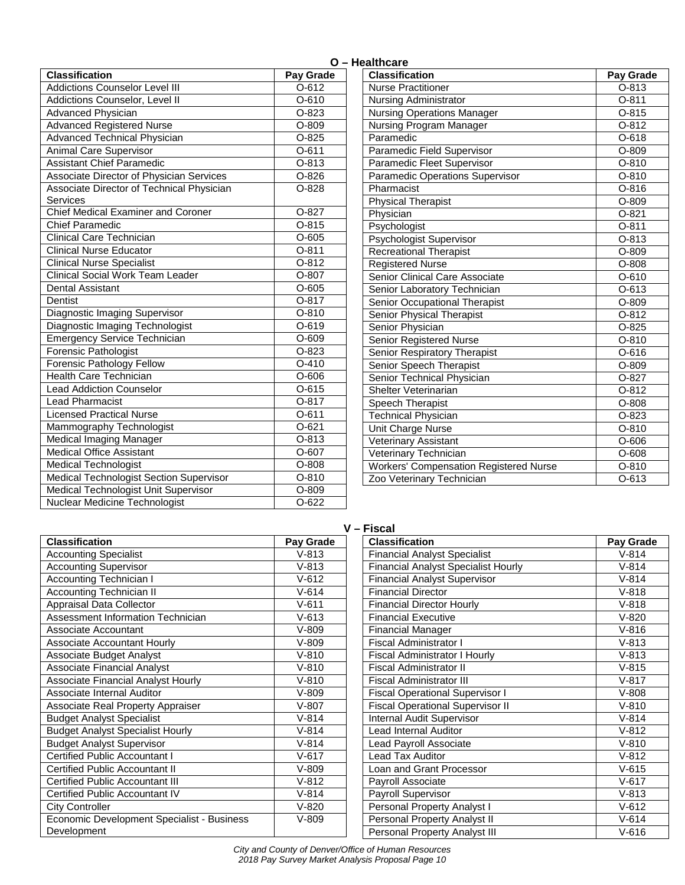| <b>Classification</b>                     | Pay Grade |
|-------------------------------------------|-----------|
| <b>Addictions Counselor Level III</b>     | $O-612$   |
| Addictions Counselor, Level II            | $0 - 610$ |
| <b>Advanced Physician</b>                 | O-823     |
| <b>Advanced Registered Nurse</b>          | $O-809$   |
| <b>Advanced Technical Physician</b>       | $O-825$   |
| Animal Care Supervisor                    | $O-611$   |
| <b>Assistant Chief Paramedic</b>          | O-813     |
| Associate Director of Physician Services  | $O-826$   |
| Associate Director of Technical Physician | $O-828$   |
| Services                                  |           |
| <b>Chief Medical Examiner and Coroner</b> | $O-827$   |
| <b>Chief Paramedic</b>                    | $0 - 815$ |
| <b>Clinical Care Technician</b>           | $O-605$   |
| <b>Clinical Nurse Educator</b>            | $O-811$   |
| <b>Clinical Nurse Specialist</b>          | $O-812$   |
| <b>Clinical Social Work Team Leader</b>   | O-807     |
| <b>Dental Assistant</b>                   | $O-605$   |
| Dentist                                   | $O-817$   |
| Diagnostic Imaging Supervisor             | $O-810$   |
| Diagnostic Imaging Technologist           | $0 - 619$ |
| <b>Emergency Service Technician</b>       | $O-609$   |
| <b>Forensic Pathologist</b>               | O-823     |
| Forensic Pathology Fellow                 | $O-410$   |
| <b>Health Care Technician</b>             | $O - 606$ |
| <b>Lead Addiction Counselor</b>           | $O-615$   |
| <b>Lead Pharmacist</b>                    | $O-817$   |
| <b>Licensed Practical Nurse</b>           | $O-611$   |
| Mammography Technologist                  | $O-621$   |
| Medical Imaging Manager                   | O-813     |
| <b>Medical Office Assistant</b>           | $O-607$   |
| <b>Medical Technologist</b>               | $O-808$   |
| Medical Technologist Section Supervisor   | $O-810$   |
| Medical Technologist Unit Supervisor      | O-809     |
| <b>Nuclear Medicine Technologist</b>      | $O-622$   |

| <b>Classification</b>                         | Pay Grade |
|-----------------------------------------------|-----------|
| <b>Nurse Practitioner</b>                     | $O-813$   |
| Nursing Administrator                         | $O-811$   |
| <b>Nursing Operations Manager</b>             | $0 - 815$ |
| Nursing Program Manager                       | $O-812$   |
| Paramedic                                     | $O-618$   |
| Paramedic Field Supervisor                    | $O-809$   |
| Paramedic Fleet Supervisor                    | $O-810$   |
| Paramedic Operations Supervisor               | $O-810$   |
| Pharmacist                                    | $0 - 816$ |
| <b>Physical Therapist</b>                     | $O-809$   |
| Physician                                     | $O-821$   |
| Psychologist                                  | $0 - 811$ |
| Psychologist Supervisor                       | $0 - 813$ |
| Recreational Therapist                        | O-809     |
| Registered Nurse                              | $O-808$   |
| Senior Clinical Care Associate                | $O-610$   |
| Senior Laboratory Technician                  | $O-613$   |
| Senior Occupational Therapist                 | O-809     |
| Senior Physical Therapist                     | $O-812$   |
| Senior Physician                              | $O-825$   |
| <b>Senior Registered Nurse</b>                | $0 - 810$ |
| Senior Respiratory Therapist                  | $O-616$   |
| Senior Speech Therapist                       | O-809     |
| Senior Technical Physician                    | O-827     |
| Shelter Veterinarian                          | $O-812$   |
| Speech Therapist                              | $O-808$   |
| <b>Technical Physician</b>                    | $O-823$   |
| Unit Charge Nurse                             | $O-810$   |
| <b>Veterinary Assistant</b>                   | $O-606$   |
| Veterinary Technician                         | $O-608$   |
| <b>Workers' Compensation Registered Nurse</b> | $O-810$   |
| Zoo Veterinary Technician                     | O-613     |

#### **V – Fiscal**

| <b>Classification</b>                      | Pay Grade | <b>Classification</b>                      | Pay Grade |
|--------------------------------------------|-----------|--------------------------------------------|-----------|
| <b>Accounting Specialist</b>               | $V - 813$ | <b>Financial Analyst Specialist</b>        | $V-814$   |
| <b>Accounting Supervisor</b>               | $V - 813$ | <b>Financial Analyst Specialist Hourly</b> | $V-814$   |
| <b>Accounting Technician I</b>             | $V-612$   | <b>Financial Analyst Supervisor</b>        | $V-814$   |
| <b>Accounting Technician II</b>            | $V - 614$ | <b>Financial Director</b>                  | $V-818$   |
| Appraisal Data Collector                   | $V-611$   | <b>Financial Director Hourly</b>           | $V-818$   |
| Assessment Information Technician          | $V - 613$ | <b>Financial Executive</b>                 | $V-820$   |
| Associate Accountant                       | $V-809$   | <b>Financial Manager</b>                   | $V-816$   |
| <b>Associate Accountant Hourly</b>         | $V-809$   | <b>Fiscal Administrator I</b>              | $V-813$   |
| Associate Budget Analyst                   | $V-810$   | Fiscal Administrator I Hourly              | $V - 813$ |
| <b>Associate Financial Analyst</b>         | $V-810$   | <b>Fiscal Administrator II</b>             | $V - 815$ |
| <b>Associate Financial Analyst Hourly</b>  | $V-810$   | <b>Fiscal Administrator III</b>            | $V-817$   |
| Associate Internal Auditor                 | $V-809$   | <b>Fiscal Operational Supervisor I</b>     | $V-808$   |
| Associate Real Property Appraiser          | $V-807$   | <b>Fiscal Operational Supervisor II</b>    | $V-810$   |
| <b>Budget Analyst Specialist</b>           | $V-814$   | <b>Internal Audit Supervisor</b>           | $V-814$   |
| <b>Budget Analyst Specialist Hourly</b>    | $V - 814$ | Lead Internal Auditor                      | $V-812$   |
| <b>Budget Analyst Supervisor</b>           | $V-814$   | Lead Payroll Associate                     | $V-810$   |
| Certified Public Accountant I              | $V-617$   | Lead Tax Auditor                           | $V-812$   |
| <b>Certified Public Accountant II</b>      | $V-809$   | Loan and Grant Processor                   | $V-615$   |
| <b>Certified Public Accountant III</b>     | $V-812$   | Payroll Associate                          | $V - 617$ |
| Certified Public Accountant IV             | $V-814$   | Payroll Supervisor                         | $V - 813$ |
| <b>City Controller</b>                     | $V-820$   | Personal Property Analyst I                | $V-612$   |
| Economic Development Specialist - Business | $V-809$   | Personal Property Analyst II               | $V - 614$ |
| Development                                |           | Personal Property Analyst III              | $V - 616$ |

| <b>Healthcare</b> |  |
|-------------------|--|
|                   |  |

| Lead Addiction Counselor                  | $O-615$   |
|-------------------------------------------|-----------|
| Lead Pharmacist                           | $O-817$   |
| <b>Licensed Practical Nurse</b>           | $O-611$   |
| Mammography Technologist                  | $O-621$   |
| Medical Imaging Manager                   | O-813     |
| <b>Medical Office Assistant</b>           | O-607     |
| <b>Medical Technologist</b>               | $O-808$   |
| Medical Technologist Section Supervisor   | $O-810$   |
| Medical Technologist Unit Supervisor      | $O-809$   |
| Nuclear Medicine Technologist             | $O-622$   |
|                                           | ۷۰        |
| <b>Classification</b>                     | Pay Grade |
| <b>Accounting Specialist</b>              | $V-813$   |
| <b>Accounting Supervisor</b>              | $V-813$   |
| <b>Accounting Technician I</b>            | $V-612$   |
| <b>Accounting Technician II</b>           | $V - 614$ |
| Appraisal Data Collector                  | $V - 611$ |
| <b>Assessment Information Technician</b>  | $V - 613$ |
| <b>Associate Accountant</b>               | $V-809$   |
| <b>Associate Accountant Hourly</b>        | $V-809$   |
| Associate Budget Analyst                  | $V-810$   |
| <b>Associate Financial Analyst</b>        | $V-810$   |
| <b>Associate Financial Analyst Hourly</b> | $V - 810$ |
| Associate Internal Auditor                | $V-809$   |
| Associate Real Property Appraiser         | $V-807$   |
| <b>Budget Analyst Specialist</b>          | $V - 814$ |
| <b>Budget Analyst Specialist Hourly</b>   | $V-814$   |
| <b>Budget Analyst Supervisor</b>          | $V - 814$ |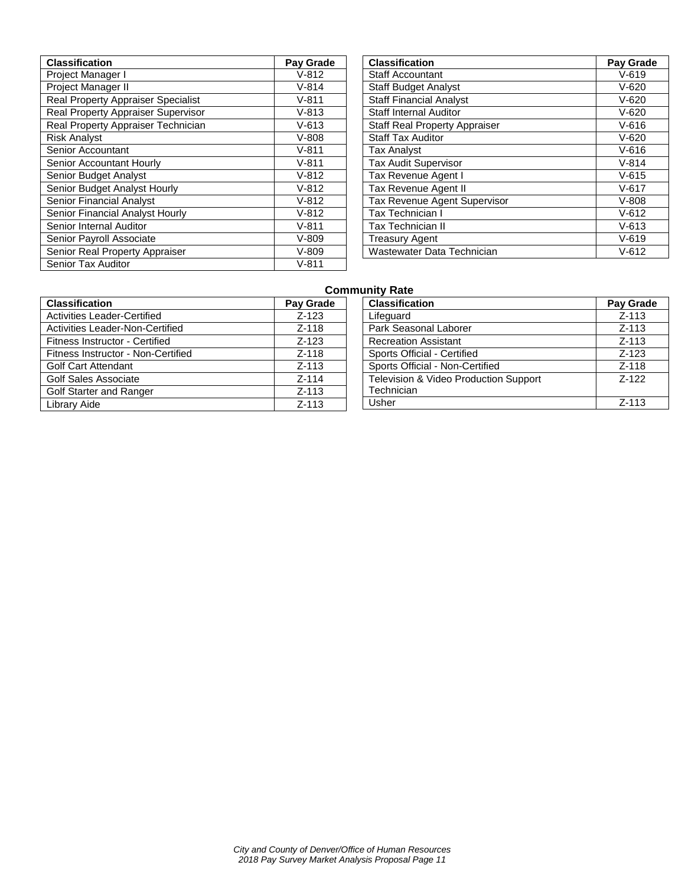| <b>Classification</b>              | Pay Grade |
|------------------------------------|-----------|
| Project Manager I                  | $V-812$   |
| Project Manager II                 | $V-814$   |
| Real Property Appraiser Specialist | $V-811$   |
| Real Property Appraiser Supervisor | $V - 813$ |
| Real Property Appraiser Technician | $V - 613$ |
| <b>Risk Analyst</b>                | $V-808$   |
| <b>Senior Accountant</b>           | $V-811$   |
| Senior Accountant Hourly           | $V-811$   |
| Senior Budget Analyst              | $V-812$   |
| Senior Budget Analyst Hourly       | $V-812$   |
| Senior Financial Analyst           | $V-812$   |
| Senior Financial Analyst Hourly    | $V-812$   |
| Senior Internal Auditor            | $V-811$   |
| Senior Payroll Associate           | $V-809$   |
| Senior Real Property Appraiser     | $V-809$   |
| <b>Senior Tax Auditor</b>          | $V - 811$ |

| <b>Classification</b>                | Pay Grade |
|--------------------------------------|-----------|
| <b>Staff Accountant</b>              | $V - 619$ |
| <b>Staff Budget Analyst</b>          | $V - 620$ |
| <b>Staff Financial Analyst</b>       | $V - 620$ |
| <b>Staff Internal Auditor</b>        | $V - 620$ |
| <b>Staff Real Property Appraiser</b> | $V - 616$ |
| <b>Staff Tax Auditor</b>             | $V - 620$ |
| <b>Tax Analyst</b>                   | $V - 616$ |
| <b>Tax Audit Supervisor</b>          | $V - 814$ |
| Tax Revenue Agent I                  | $V - 615$ |
| <b>Tax Revenue Agent II</b>          | $V - 617$ |
| <b>Tax Revenue Agent Supervisor</b>  | $V-808$   |
| Tax Technician I                     | $V - 612$ |
| Tax Technician II                    | $V - 613$ |
| <b>Treasury Agent</b>                | $V - 619$ |
| Wastewater Data Technician           | $V - 612$ |

## **Community Rate**

| de | <b>Classification</b>                 | Pay Grade |
|----|---------------------------------------|-----------|
|    | Lifequard                             | $Z-113$   |
|    | Park Seasonal Laborer                 | $Z - 113$ |
|    | <b>Recreation Assistant</b>           | $Z - 113$ |
|    | Sports Official - Certified           | $Z-123$   |
|    | Sports Official - Non-Certified       | $Z-118$   |
|    | Television & Video Production Support | $7-122$   |
|    | Technician                            |           |
|    | Usher                                 | $Z - 113$ |

|                                    | uσι       |
|------------------------------------|-----------|
| <b>Classification</b>              | Pay Grade |
| <b>Activities Leader-Certified</b> | $Z - 123$ |
| Activities Leader-Non-Certified    | $Z-118$   |
| Fitness Instructor - Certified     | $Z - 123$ |
| Fitness Instructor - Non-Certified | $Z-118$   |
| <b>Golf Cart Attendant</b>         | $Z-113$   |
| <b>Golf Sales Associate</b>        | $Z - 114$ |
| Golf Starter and Ranger            | $Z - 113$ |
| Library Aide                       | $Z - 113$ |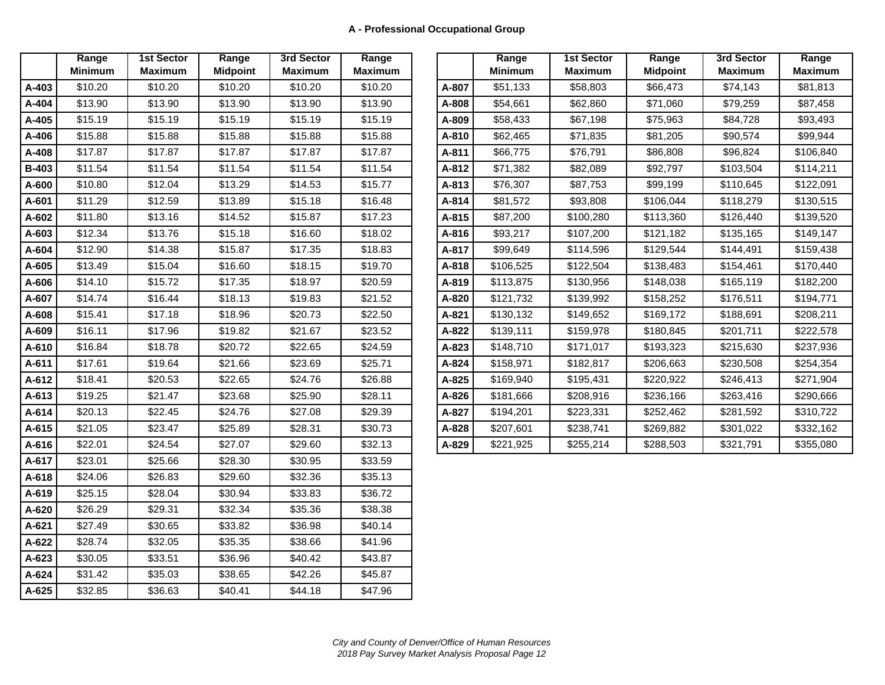|       | Range          | <b>1st Sector</b> | Range    | 3rd Sector     | Range          |
|-------|----------------|-------------------|----------|----------------|----------------|
|       | <b>Minimum</b> | <b>Maximum</b>    | Midpoint | <b>Maximum</b> | <b>Maximum</b> |
| A-403 | \$10.20        | \$10.20           | \$10.20  | \$10.20        | \$10.20        |
| A-404 | \$13.90        | \$13.90           | \$13.90  | \$13.90        | \$13.90        |
| A-405 | \$15.19        | \$15.19           | \$15.19  | \$15.19        | \$15.19        |
| A-406 | \$15.88        | \$15.88           | \$15.88  | \$15.88        | \$15.88        |
| A-408 | \$17.87        | \$17.87           | \$17.87  | \$17.87        | \$17.87        |
| B-403 | \$11.54        | \$11.54           | \$11.54  | \$11.54        | \$11.54        |
| A-600 | \$10.80        | \$12.04           | \$13.29  | \$14.53        | \$15.77        |
| A-601 | \$11.29        | \$12.59           | \$13.89  | \$15.18        | \$16.48        |
| A-602 | \$11.80        | \$13.16           | \$14.52  | \$15.87        | \$17.23        |
| A-603 | \$12.34        | \$13.76           | \$15.18  | \$16.60        | \$18.02        |
| A-604 | \$12.90        | \$14.38           | \$15.87  | \$17.35        | \$18.83        |
| A-605 | \$13.49        | \$15.04           | \$16.60  | \$18.15        | \$19.70        |
| A-606 | \$14.10        | \$15.72           | \$17.35  | \$18.97        | \$20.59        |
| A-607 | \$14.74        | \$16.44           | \$18.13  | \$19.83        | \$21.52        |
| A-608 | \$15.41        | \$17.18           | \$18.96  | \$20.73        | \$22.50        |
| A-609 | \$16.11        | \$17.96           | \$19.82  | \$21.67        | \$23.52        |
| A-610 | \$16.84        | \$18.78           | \$20.72  | \$22.65        | \$24.59        |
| A-611 | \$17.61        | \$19.64           | \$21.66  | \$23.69        | \$25.71        |
| A-612 | \$18.41        | \$20.53           | \$22.65  | \$24.76        | \$26.88        |
| A-613 | \$19.25        | \$21.47           | \$23.68  | \$25.90        | \$28.11        |
| A-614 | \$20.13        | \$22.45           | \$24.76  | \$27.08        | \$29.39        |
| A-615 | \$21.05        | \$23.47           | \$25.89  | \$28.31        | \$30.73        |
| A-616 | \$22.01        | \$24.54           | \$27.07  | \$29.60        | \$32.13        |
| A-617 | \$23.01        | \$25.66           | \$28.30  | \$30.95        | \$33.59        |
| A-618 | \$24.06        | \$26.83           | \$29.60  | \$32.36        | \$35.13        |
| A-619 | \$25.15        | \$28.04           | \$30.94  | \$33.83        | \$36.72        |
| A-620 | \$26.29        | \$29.31           | \$32.34  | \$35.36        | \$38.38        |
| A-621 | \$27.49        | \$30.65           | \$33.82  | \$36.98        | \$40.14        |
| A-622 | \$28.74        | \$32.05           | \$35.35  | \$38.66        | \$41.96        |
| A-623 | \$30.05        | \$33.51           | \$36.96  | \$40.42        | \$43.87        |
| A-624 | \$31.42        | \$35.03           | \$38.65  | \$42.26        | \$45.87        |
| A-625 | \$32.85        | \$36.63           | \$40.41  | \$44.18        | \$47.96        |

|              | Range<br><b>Minimum</b> | <b>1st Sector</b><br><b>Maximum</b> | Range<br><b>Midpoint</b> | 3rd Sector<br><b>Maximum</b> | Range<br><b>Maximum</b> |       | Range<br><b>Minimum</b> | <b>1st Sector</b><br><b>Maximum</b> | Range<br><b>Midpoint</b> | 3rd Sector<br><b>Maximum</b> | Range<br><b>Maximum</b> |
|--------------|-------------------------|-------------------------------------|--------------------------|------------------------------|-------------------------|-------|-------------------------|-------------------------------------|--------------------------|------------------------------|-------------------------|
| A-403        | \$10.20                 | \$10.20                             | \$10.20                  | \$10.20                      | \$10.20                 | A-807 | \$51,133                | \$58,803                            | \$66,473                 | \$74,143                     | \$81,813                |
| A-404        | \$13.90                 | \$13.90                             | \$13.90                  | \$13.90                      | \$13.90                 | A-808 | \$54.661                | \$62,860                            | \$71.060                 | \$79,259                     | \$87,458                |
| A-405        | \$15.19                 | \$15.19                             | \$15.19                  | \$15.19                      | \$15.19                 | A-809 | \$58,433                | \$67,198                            | \$75,963                 | \$84,728                     | \$93,493                |
| A-406        | \$15.88                 | \$15.88                             | \$15.88                  | \$15.88                      | \$15.88                 | A-810 | \$62,465                | \$71,835                            | \$81,205                 | \$90,574                     | \$99,944                |
| A-408        | \$17.87                 | \$17.87                             | \$17.87                  | \$17.87                      | \$17.87                 | A-811 | \$66,775                | \$76,791                            | \$86,808                 | \$96,824                     | \$106,840               |
| <b>B-403</b> | \$11.54                 | \$11.54                             | \$11.54                  | \$11.54                      | \$11.54                 | A-812 | \$71,382                | \$82,089                            | \$92.797                 | \$103,504                    | \$114,211               |
| A-600        | \$10.80                 | \$12.04                             | \$13.29                  | \$14.53                      | \$15.77                 | A-813 | \$76,307                | \$87,753                            | \$99,199                 | \$110,645                    | \$122,091               |
| A-601        | \$11.29                 | \$12.59                             | \$13.89                  | \$15.18                      | \$16.48                 | A-814 | \$81,572                | \$93,808                            | \$106,044                | \$118,279                    | \$130,515               |
| A-602        | \$11.80                 | \$13.16                             | \$14.52                  | \$15.87                      | \$17.23                 | A-815 | \$87,200                | \$100,280                           | \$113,360                | \$126,440                    | \$139,520               |
| A-603        | \$12.34                 | \$13.76                             | \$15.18                  | \$16.60                      | \$18.02                 | A-816 | \$93,217                | \$107,200                           | \$121,182                | \$135,165                    | \$149,147               |
| A-604        | \$12.90                 | \$14.38                             | \$15.87                  | \$17.35                      | \$18.83                 | A-817 | \$99,649                | \$114,596                           | \$129,544                | \$144,491                    | \$159,438               |
| A-605        | \$13.49                 | \$15.04                             | \$16.60                  | \$18.15                      | \$19.70                 | A-818 | \$106,525               | \$122,504                           | \$138,483                | \$154,461                    | \$170,440               |
| A-606        | \$14.10                 | \$15.72                             | \$17.35                  | \$18.97                      | \$20.59                 | A-819 | \$113,875               | \$130,956                           | \$148,038                | \$165,119                    | \$182,200               |
| A-607        | \$14.74                 | \$16.44                             | \$18.13                  | \$19.83                      | \$21.52                 | A-820 | \$121,732               | \$139,992                           | \$158,252                | \$176,511                    | \$194,771               |
| A-608        | \$15.41                 | \$17.18                             | \$18.96                  | \$20.73                      | \$22.50                 | A-821 | \$130,132               | \$149,652                           | \$169,172                | \$188,691                    | \$208,211               |
| A-609        | \$16.11                 | \$17.96                             | \$19.82                  | \$21.67                      | \$23.52                 | A-822 | \$139,111               | \$159,978                           | \$180,845                | \$201,711                    | \$222,578               |
| A-610        | \$16.84                 | \$18.78                             | \$20.72                  | \$22.65                      | \$24.59                 | A-823 | \$148,710               | \$171,017                           | \$193,323                | \$215,630                    | \$237,936               |
| A-611        | \$17.61                 | \$19.64                             | \$21.66                  | \$23.69                      | \$25.71                 | A-824 | \$158,971               | \$182,817                           | \$206,663                | \$230,508                    | \$254,354               |
| A-612        | \$18.41                 | \$20.53                             | \$22.65                  | \$24.76                      | \$26.88                 | A-825 | \$169,940               | \$195,431                           | \$220,922                | \$246,413                    | \$271,904               |
| A-613        | \$19.25                 | \$21.47                             | \$23.68                  | \$25.90                      | \$28.11                 | A-826 | \$181,666               | \$208,916                           | \$236,166                | \$263,416                    | \$290,666               |
| A-614        | \$20.13                 | \$22.45                             | \$24.76                  | \$27.08                      | \$29.39                 | A-827 | \$194,201               | \$223,331                           | \$252,462                | \$281,592                    | \$310,722               |
| A-615        | \$21.05                 | \$23.47                             | \$25.89                  | \$28.31                      | \$30.73                 | A-828 | \$207,601               | \$238,741                           | \$269,882                | \$301,022                    | \$332,162               |
| A-616        | \$22.01                 | \$24.54                             | \$27.07                  | \$29.60                      | \$32.13                 | A-829 | \$221,925               | \$255,214                           | \$288,503                | \$321,791                    | \$355,080               |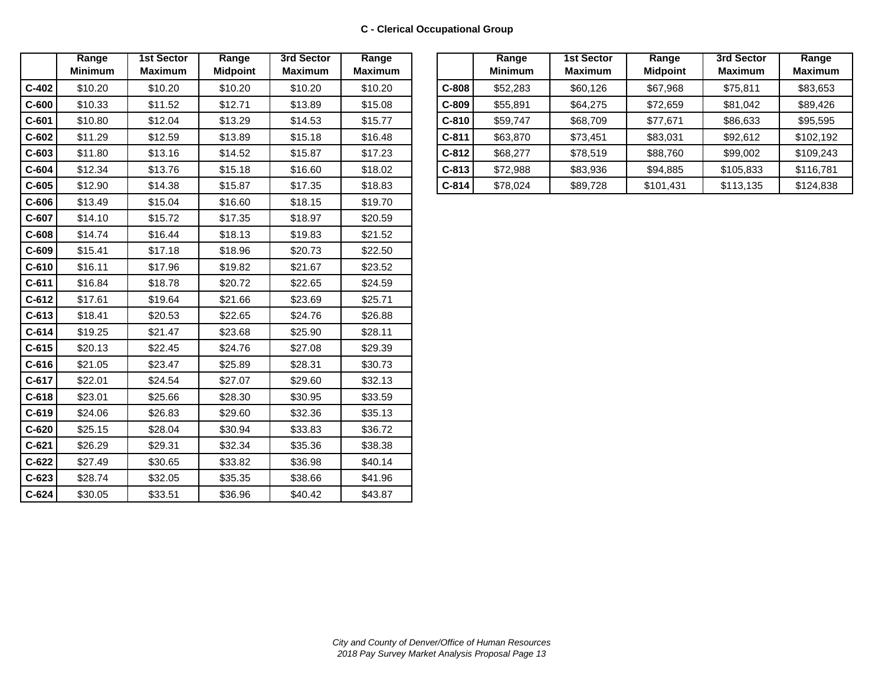|         | Range          | <b>1st Sector</b> | Range           | 3rd Sector     | Range          |
|---------|----------------|-------------------|-----------------|----------------|----------------|
|         | <b>Minimum</b> | <b>Maximum</b>    | <b>Midpoint</b> | <b>Maximum</b> | <b>Maximum</b> |
| $C-402$ | \$10.20        | \$10.20           | \$10.20         | \$10.20        | \$10.20        |
| $C-600$ | \$10.33        | \$11.52           | \$12.71         | \$13.89        | \$15.08        |
| $C-601$ | \$10.80        | \$12.04           | \$13.29         | \$14.53        | \$15.77        |
| $C-602$ | \$11.29        | \$12.59           | \$13.89         | \$15.18        | \$16.48        |
| $C-603$ | \$11.80        | \$13.16           | \$14.52         | \$15.87        | \$17.23        |
| $C-604$ | \$12.34        | \$13.76           | \$15.18         | \$16.60        | \$18.02        |
| $C-605$ | \$12.90        | \$14.38           | \$15.87         | \$17.35        | \$18.83        |
| $C-606$ | \$13.49        | \$15.04           | \$16.60         | \$18.15        | \$19.70        |
| $C-607$ | \$14.10        | \$15.72           | \$17.35         | \$18.97        | \$20.59        |
| $C-608$ | \$14.74        | \$16.44           | \$18.13         | \$19.83        | \$21.52        |
| $C-609$ | \$15.41        | \$17.18           | \$18.96         | \$20.73        | \$22.50        |
| $C-610$ | \$16.11        | \$17.96           | \$19.82         | \$21.67        | \$23.52        |
| $C-611$ | \$16.84        | \$18.78           | \$20.72         | \$22.65        | \$24.59        |
| $C-612$ | \$17.61        | \$19.64           | \$21.66         | \$23.69        | \$25.71        |
| $C-613$ | \$18.41        | \$20.53           | \$22.65         | \$24.76        | \$26.88        |
| $C-614$ | \$19.25        | \$21.47           | \$23.68         | \$25.90        | \$28.11        |
| $C-615$ | \$20.13        | \$22.45           | \$24.76         | \$27.08        | \$29.39        |
| $C-616$ | \$21.05        | \$23.47           | \$25.89         | \$28.31        | \$30.73        |
| $C-617$ | \$22.01        | \$24.54           | \$27.07         | \$29.60        | \$32.13        |
| $C-618$ | \$23.01        | \$25.66           | \$28.30         | \$30.95        | \$33.59        |
| $C-619$ | \$24.06        | \$26.83           | \$29.60         | \$32.36        | \$35.13        |
| $C-620$ | \$25.15        | \$28.04           | \$30.94         | \$33.83        | \$36.72        |
| $C-621$ | \$26.29        | \$29.31           | \$32.34         | \$35.36        | \$38.38        |
| $C-622$ | \$27.49        | \$30.65           | \$33.82         | \$36.98        | \$40.14        |
| $C-623$ | \$28.74        | \$32.05           | \$35.35         | \$38.66        | \$41.96        |
| $C-624$ | \$30.05        | \$33.51           | \$36.96         | \$40.42        | \$43.87        |

| Range<br><b>Minimum</b> | 1st Sector<br><b>Maximum</b> | Range<br><b>Midpoint</b> | 3rd Sector<br><b>Maximum</b> | Range<br><b>Maximum</b> |         | Range<br><b>Minimum</b> | <b>1st Sector</b><br><b>Maximum</b> | Range<br><b>Midpoint</b> | 3rd Sector<br><b>Maximum</b> | Range<br><b>Maximum</b> |
|-------------------------|------------------------------|--------------------------|------------------------------|-------------------------|---------|-------------------------|-------------------------------------|--------------------------|------------------------------|-------------------------|
| \$10.20                 | \$10.20                      | \$10.20                  | \$10.20                      | \$10.20                 | $C-808$ | \$52,283                | \$60,126                            | \$67,968                 | \$75.811                     | \$83,653                |
| \$10.33                 | \$11.52                      | \$12.71                  | \$13.89                      | \$15.08                 | $C-809$ | \$55,891                | \$64,275                            | \$72,659                 | \$81,042                     | \$89,426                |
| \$10.80                 | \$12.04                      | \$13.29                  | \$14.53                      | \$15.77                 | $C-810$ | \$59,747                | \$68,709                            | \$77,671                 | \$86,633                     | \$95,595                |
| \$11.29                 | \$12.59                      | \$13.89                  | \$15.18                      | \$16.48                 | $C-811$ | \$63,870                | \$73,451                            | \$83,031                 | \$92,612                     | \$102,192               |
| \$11.80                 | \$13.16                      | \$14.52                  | \$15.87                      | \$17.23                 | $C-812$ | \$68,277                | \$78,519                            | \$88,760                 | \$99,002                     | \$109,243               |
| \$12.34                 | \$13.76                      | \$15.18                  | \$16.60                      | \$18.02                 | $C-813$ | \$72,988                | \$83,936                            | \$94,885                 | \$105,833                    | \$116,781               |
| \$12.90                 | \$14.38                      | \$15.87                  | \$17.35                      | \$18.83                 | $C-814$ | \$78,024                | \$89,728                            | \$101,431                | \$113,135                    | \$124,838               |
|                         |                              |                          |                              |                         |         |                         |                                     |                          |                              |                         |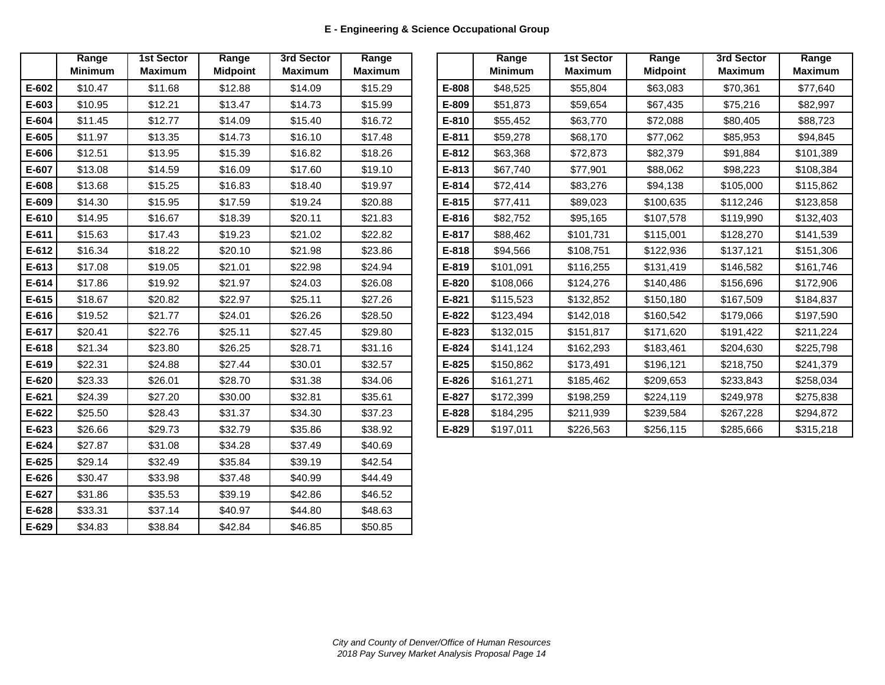|           | Range<br><b>Minimum</b> | <b>1st Sector</b><br><b>Maximum</b> | Range<br><b>Midpoint</b> | 3rd Sector<br><b>Maximum</b> | Range<br><b>Maximum</b> |
|-----------|-------------------------|-------------------------------------|--------------------------|------------------------------|-------------------------|
| E-602     | \$10.47                 | \$11.68                             | \$12.88                  | \$14.09                      | \$15.29                 |
| E-603     | \$10.95                 | \$12.21                             | \$13.47                  | \$14.73                      | \$15.99                 |
| E-604     | \$11.45                 | \$12.77                             | \$14.09                  | \$15.40                      | \$16.72                 |
| E-605     | \$11.97                 | \$13.35                             | \$14.73                  | \$16.10                      | \$17.48                 |
| E-606     | \$12.51                 | \$13.95                             | \$15.39                  | \$16.82                      | \$18.26                 |
| E-607     | \$13.08                 | \$14.59                             | \$16.09                  | \$17.60                      | \$19.10                 |
| E-608     | \$13.68                 | \$15.25                             | \$16.83                  | \$18.40                      | \$19.97                 |
| E-609     | \$14.30                 | \$15.95                             | \$17.59                  | \$19.24                      | \$20.88                 |
| E-610     | \$14.95                 | \$16.67                             | \$18.39                  | \$20.11                      | \$21.83                 |
| E-611     | \$15.63                 | \$17.43                             | \$19.23                  | \$21.02                      | \$22.82                 |
| $E-612$   | \$16.34                 | \$18.22                             | \$20.10                  | \$21.98                      | \$23.86                 |
| E-613     | \$17.08                 | \$19.05                             | \$21.01                  | \$22.98                      | \$24.94                 |
| E-614     | \$17.86                 | \$19.92                             | \$21.97                  | \$24.03                      | \$26.08                 |
| E-615     | \$18.67                 | \$20.82                             | \$22.97                  | \$25.11                      | \$27.26                 |
| E-616     | \$19.52                 | \$21.77                             | \$24.01                  | \$26.26                      | \$28.50                 |
| E-617     | \$20.41                 | \$22.76                             | \$25.11                  | \$27.45                      | \$29.80                 |
| E-618     | \$21.34                 | \$23.80                             | \$26.25                  | \$28.71                      | \$31.16                 |
| E-619     | \$22.31                 | \$24.88                             | \$27.44                  | \$30.01                      | \$32.57                 |
| $E - 620$ | \$23.33                 | \$26.01                             | \$28.70                  | \$31.38                      | \$34.06                 |
| $E-621$   | \$24.39                 | \$27.20                             | \$30.00                  | \$32.81                      | \$35.61                 |
| E-622     | \$25.50                 | \$28.43                             | \$31.37                  | \$34.30                      | \$37.23                 |
| E-623     | \$26.66                 | \$29.73                             | \$32.79                  | \$35.86                      | \$38.92                 |
| E-624     | \$27.87                 | \$31.08                             | \$34.28                  | \$37.49                      | \$40.69                 |
| $E-625$   | \$29.14                 | \$32.49                             | \$35.84                  | \$39.19                      | \$42.54                 |
| E-626     | \$30.47                 | \$33.98                             | \$37.48                  | \$40.99                      | \$44.49                 |
| E-627     | \$31.86                 | \$35.53                             | \$39.19                  | \$42.86                      | \$46.52                 |
| E-628     | \$33.31                 | \$37.14                             | \$40.97                  | \$44.80                      | \$48.63                 |
| $E-629$   | \$34.83                 | \$38.84                             | \$42.84                  | \$46.85                      | \$50.85                 |

|         | Range          | <b>1st Sector</b> | Range           | 3rd Sector     | Range          |           | Range          | <b>1st Sector</b> | Range           | 3rd Sector     |  |
|---------|----------------|-------------------|-----------------|----------------|----------------|-----------|----------------|-------------------|-----------------|----------------|--|
|         | <b>Minimum</b> | <b>Maximum</b>    | <b>Midpoint</b> | <b>Maximum</b> | <b>Maximum</b> |           | <b>Minimum</b> | <b>Maximum</b>    | <b>Midpoint</b> | <b>Maximum</b> |  |
| E-602   | \$10.47        | \$11.68           | \$12.88         | \$14.09        | \$15.29        | E-808     | \$48,525       | \$55,804          | \$63.083        | \$70,361       |  |
| E-603   | \$10.95        | \$12.21           | \$13.47         | \$14.73        | \$15.99        | E-809     | \$51,873       | \$59.654          | \$67,435        | \$75,216       |  |
| E-604   | \$11.45        | \$12.77           | \$14.09         | \$15.40        | \$16.72        | E-810     | \$55,452       | \$63,770          | \$72,088        | \$80,405       |  |
| E-605   | \$11.97        | \$13.35           | \$14.73         | \$16.10        | \$17.48        | E-811     | \$59,278       | \$68,170          | \$77.062        | \$85,953       |  |
| E-606   | \$12.51        | \$13.95           | \$15.39         | \$16.82        | \$18.26        | $E-812$   | \$63,368       | \$72,873          | \$82,379        | \$91,884       |  |
| E-607   | \$13.08        | \$14.59           | \$16.09         | \$17.60        | \$19.10        | E-813     | \$67,740       | \$77,901          | \$88,062        | \$98,223       |  |
| E-608   | \$13.68        | \$15.25           | \$16.83         | \$18.40        | \$19.97        | $E-814$   | \$72,414       | \$83,276          | \$94,138        | \$105,000      |  |
| E-609   | \$14.30        | \$15.95           | \$17.59         | \$19.24        | \$20.88        | E-815     | \$77,411       | \$89,023          | \$100,635       | \$112,246      |  |
| E-610   | \$14.95        | \$16.67           | \$18.39         | \$20.11        | \$21.83        | $E-816$   | \$82,752       | \$95,165          | \$107.578       | \$119,990      |  |
| E-611   | \$15.63        | \$17.43           | \$19.23         | \$21.02        | \$22.82        | E-817     | \$88,462       | \$101,731         | \$115,001       | \$128,270      |  |
| E-612   | \$16.34        | \$18.22           | \$20.10         | \$21.98        | \$23.86        | E-818     | \$94,566       | \$108,751         | \$122,936       | \$137,121      |  |
| E-613   | \$17.08        | \$19.05           | \$21.01         | \$22.98        | \$24.94        | E-819     | \$101,091      | \$116,255         | \$131,419       | \$146,582      |  |
| E-614   | \$17.86        | \$19.92           | \$21.97         | \$24.03        | \$26.08        | E-820     | \$108,066      | \$124,276         | \$140,486       | \$156,696      |  |
| $E-615$ | \$18.67        | \$20.82           | \$22.97         | \$25.11        | \$27.26        | E-821     | \$115,523      | \$132,852         | \$150,180       | \$167,509      |  |
| E-616   | \$19.52        | \$21.77           | \$24.01         | \$26.26        | \$28.50        | $E-822$   | \$123,494      | \$142,018         | \$160,542       | \$179,066      |  |
| $E-617$ | \$20.41        | \$22.76           | \$25.11         | \$27.45        | \$29.80        | $E-823$   | \$132,015      | \$151,817         | \$171.620       | \$191,422      |  |
| E-618   | \$21.34        | \$23.80           | \$26.25         | \$28.71        | \$31.16        | $E - 824$ | \$141,124      | \$162,293         | \$183,461       | \$204,630      |  |
| E-619   | \$22.31        | \$24.88           | \$27.44         | \$30.01        | \$32.57        | E-825     | \$150.862      | \$173,491         | \$196,121       | \$218,750      |  |
| $E-620$ | \$23.33        | \$26.01           | \$28.70         | \$31.38        | \$34.06        | $E - 826$ | \$161.271      | \$185,462         | \$209.653       | \$233,843      |  |
| $E-621$ | \$24.39        | \$27.20           | \$30.00         | \$32.81        | \$35.61        | E-827     | \$172,399      | \$198,259         | \$224,119       | \$249,978      |  |
| E-622   | \$25.50        | \$28.43           | \$31.37         | \$34.30        | \$37.23        | E-828     | \$184,295      | \$211,939         | \$239,584       | \$267,228      |  |
| E-623   | \$26.66        | \$29.73           | \$32.79         | \$35.86        | \$38.92        | E-829     | \$197,011      | \$226,563         | \$256,115       | \$285,666      |  |
|         |                |                   |                 |                |                |           |                |                   |                 |                |  |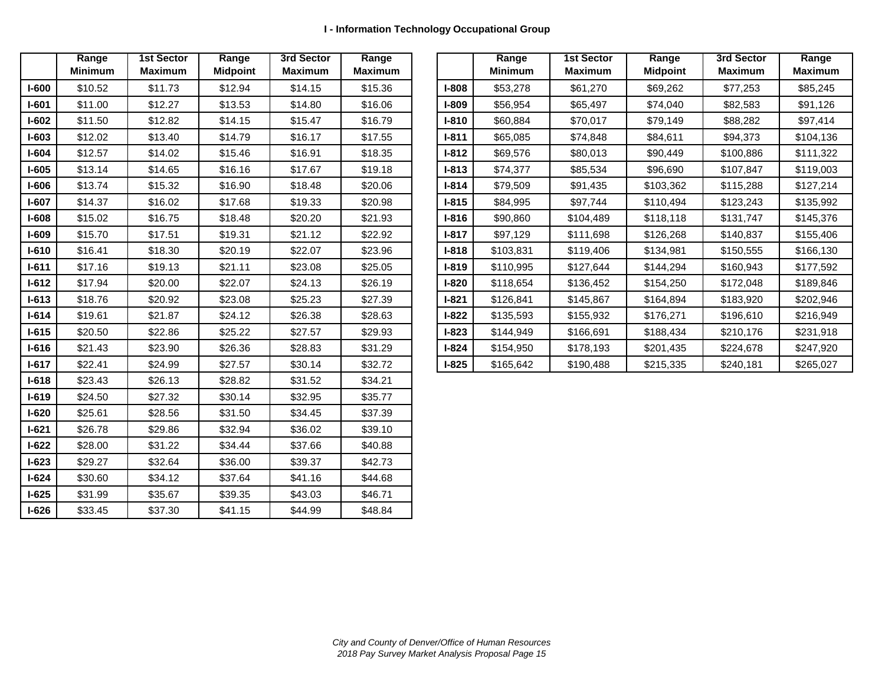|           | Range          | <b>1st Sector</b> | Range           | 3rd Sector     | Range          |
|-----------|----------------|-------------------|-----------------|----------------|----------------|
|           | <b>Minimum</b> | <b>Maximum</b>    | <b>Midpoint</b> | <b>Maximum</b> | <b>Maximum</b> |
| $I-600$   | \$10.52        | \$11.73           | \$12.94         | \$14.15        | \$15.36        |
| $I-601$   | \$11.00        | \$12.27           | \$13.53         | \$14.80        | \$16.06        |
| $I-602$   | \$11.50        | \$12.82           | \$14.15         | \$15.47        | \$16.79        |
| $I-603$   | \$12.02        | \$13.40           | \$14.79         | \$16.17        | \$17.55        |
| $I-604$   | \$12.57        | \$14.02           | \$15.46         | \$16.91        | \$18.35        |
| $I-605$   | \$13.14        | \$14.65           | \$16.16         | \$17.67        | \$19.18        |
| $I-606$   | \$13.74        | \$15.32           | \$16.90         | \$18.48        | \$20.06        |
| $I-607$   | \$14.37        | \$16.02           | \$17.68         | \$19.33        | \$20.98        |
| $I-608$   | \$15.02        | \$16.75           | \$18.48         | \$20.20        | \$21.93        |
| $I-609$   | \$15.70        | \$17.51           | \$19.31         | \$21.12        | \$22.92        |
| $I-610$   | \$16.41        | \$18.30           | \$20.19         | \$22.07        | \$23.96        |
| $I-611$   | \$17.16        | \$19.13           | \$21.11         | \$23.08        | \$25.05        |
| $I-612$   | \$17.94        | \$20.00           | \$22.07         | \$24.13        | \$26.19        |
| $I - 613$ | \$18.76        | \$20.92           | \$23.08         | \$25.23        | \$27.39        |
| $I-614$   | \$19.61        | \$21.87           | \$24.12         | \$26.38        | \$28.63        |
| $I-615$   | \$20.50        | \$22.86           | \$25.22         | \$27.57        | \$29.93        |
| $I - 616$ | \$21.43        | \$23.90           | \$26.36         | \$28.83        | \$31.29        |
| $I-617$   | \$22.41        | \$24.99           | \$27.57         | \$30.14        | \$32.72        |
| $I-618$   | \$23.43        | \$26.13           | \$28.82         | \$31.52        | \$34.21        |
| $I-619$   | \$24.50        | \$27.32           | \$30.14         | \$32.95        | \$35.77        |
| $I-620$   | \$25.61        | \$28.56           | \$31.50         | \$34.45        | \$37.39        |
| $I-621$   | \$26.78        | \$29.86           | \$32.94         | \$36.02        | \$39.10        |
| $I-622$   | \$28.00        | \$31.22           | \$34.44         | \$37.66        | \$40.88        |
| $I-623$   | \$29.27        | \$32.64           | \$36.00         | \$39.37        | \$42.73        |
| $I-624$   | \$30.60        | \$34.12           | \$37.64         | \$41.16        | \$44.68        |
| $I-625$   | \$31.99        | \$35.67           | \$39.35         | \$43.03        | \$46.71        |
| $I-626$   | \$33.45        | \$37.30           | \$41.15         | \$44.99        | \$48.84        |

|        | Range<br><b>Minimum</b> | <b>1st Sector</b><br><b>Maximum</b> | Range<br><b>Midpoint</b> | 3rd Sector<br>Maximum | Range<br><b>Maximum</b> |              |           | Range<br><b>Minimum</b> | <b>1st Sector</b><br><b>Maximum</b> | Range<br><b>Midpoint</b> | 3rd Sector<br><b>Maximum</b> |
|--------|-------------------------|-------------------------------------|--------------------------|-----------------------|-------------------------|--------------|-----------|-------------------------|-------------------------------------|--------------------------|------------------------------|
| -600   | \$10.52                 | \$11.73                             | \$12.94                  | \$14.15               | \$15.36                 | $I-808$      |           | \$53,278                | \$61,270                            | \$69,262                 | \$77,253                     |
| -601   | \$11.00                 | \$12.27                             | \$13.53                  | \$14.80               | \$16.06                 | $I-809$      |           | \$56,954                | \$65,497                            | \$74,040                 | \$82,583                     |
| -602   | \$11.50                 | \$12.82                             | \$14.15                  | \$15.47               | \$16.79                 | $I-810$      |           | \$60,884                | \$70,017                            | \$79,149                 | \$88,282                     |
| -603   | \$12.02                 | \$13.40                             | \$14.79                  | \$16.17               | \$17.55                 | <b>I-811</b> |           | \$65,085                | \$74,848                            | \$84,611                 | \$94,373                     |
| $-604$ | \$12.57                 | \$14.02                             | \$15.46                  | \$16.91               | \$18.35                 | $I-812$      |           | \$69,576                | \$80,013                            | \$90,449                 | \$100,886                    |
| -605   | \$13.14                 | \$14.65                             | \$16.16                  | \$17.67               | \$19.18                 | $I - 813$    |           | \$74,377                | \$85,534                            | \$96,690                 | \$107,847                    |
| -606   | \$13.74                 | \$15.32                             | \$16.90                  | \$18.48               | \$20.06                 | $I - 814$    |           | \$79,509                | \$91,435                            | \$103,362                | \$115,288                    |
| -607   | \$14.37                 | \$16.02                             | \$17.68                  | \$19.33               | \$20.98                 | $I-815$      |           | \$84,995                | \$97,744                            | \$110,494                | \$123,243                    |
| -608   | \$15.02                 | \$16.75                             | \$18.48                  | \$20.20               | \$21.93                 | $1 - 816$    |           | \$90,860                | \$104,489                           | \$118,118                | \$131,747                    |
| -609   | \$15.70                 | \$17.51                             | \$19.31                  | \$21.12               | \$22.92                 | $I-817$      | \$97,129  |                         | \$111,698                           | \$126,268                | \$140,837                    |
| l-610  | \$16.41                 | \$18.30                             | \$20.19                  | \$22.07               | \$23.96                 | $I-818$      | \$103,831 |                         | \$119,406                           | \$134,981                | \$150,555                    |
| $-611$ | \$17.16                 | \$19.13                             | \$21.11                  | \$23.08               | \$25.05                 | $I-819$      | \$110,995 |                         | \$127,644                           | \$144,294                | \$160,943                    |
| -612   | \$17.94                 | \$20.00                             | \$22.07                  | \$24.13               | \$26.19                 | $I-820$      | \$118,654 |                         | \$136,452                           | \$154,250                | \$172,048                    |
| $-613$ | \$18.76                 | \$20.92                             | \$23.08                  | \$25.23               | \$27.39                 | $I-821$      | \$126,841 |                         | \$145,867                           | \$164,894                | \$183,920                    |
| -614   | \$19.61                 | \$21.87                             | \$24.12                  | \$26.38               | \$28.63                 | $I-822$      | \$135,593 |                         | \$155,932                           | \$176,271                | \$196,610                    |
| -615   | \$20.50                 | \$22.86                             | \$25.22                  | \$27.57               | \$29.93                 | $I-823$      | \$144,949 |                         | \$166,691                           | \$188,434                | \$210,176                    |
| -616   | \$21.43                 | \$23.90                             | \$26.36                  | \$28.83               | \$31.29                 | <b>I-824</b> | \$154,950 |                         | \$178,193                           | \$201,435                | \$224,678                    |
| l-617  | \$22.41                 | \$24.99                             | \$27.57                  | \$30.14               | \$32.72                 | $I-825$      | \$165,642 |                         | \$190,488                           | \$215,335                | \$240,181                    |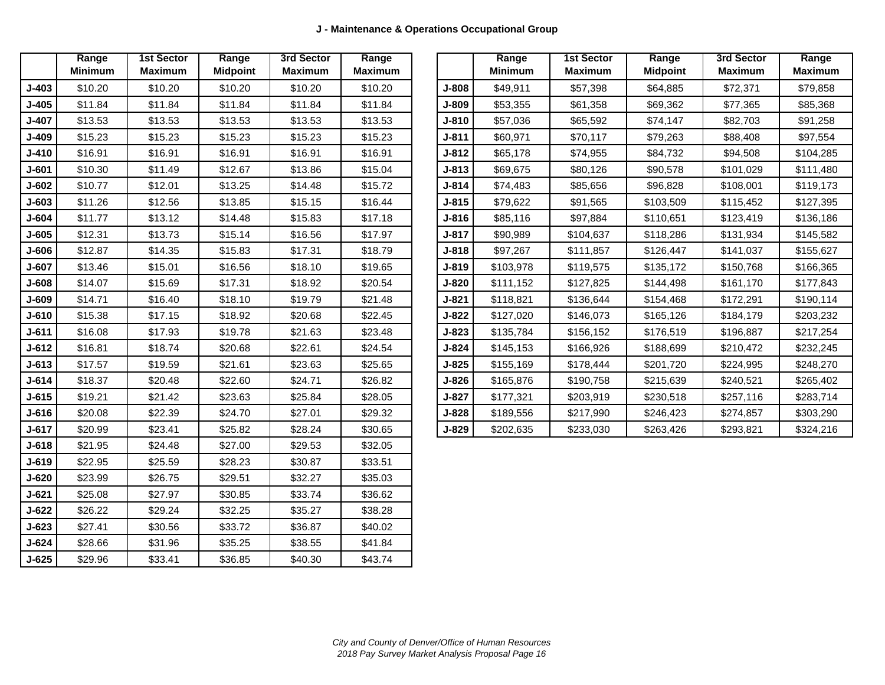|              | Range          | <b>1st Sector</b> | Range           | 3rd Sector     | Range          |
|--------------|----------------|-------------------|-----------------|----------------|----------------|
|              | <b>Minimum</b> | <b>Maximum</b>    | <b>Midpoint</b> | <b>Maximum</b> | <b>Maximum</b> |
| $J-403$      | \$10.20        | \$10.20           | \$10.20         | \$10.20        | \$10.20        |
| $J-405$      | \$11.84        | \$11.84           | \$11.84         | \$11.84        | \$11.84        |
| $J-407$      | \$13.53        | \$13.53           | \$13.53         | \$13.53        | \$13.53        |
| $J-409$      | \$15.23        | \$15.23           | \$15.23         | \$15.23        | \$15.23        |
| $J-410$      | \$16.91        | \$16.91           | \$16.91         | \$16.91        | \$16.91        |
| <b>J-601</b> | \$10.30        | \$11.49           | \$12.67         | \$13.86        | \$15.04        |
| J-602        | \$10.77        | \$12.01           | \$13.25         | \$14.48        | \$15.72        |
| $J-603$      | \$11.26        | \$12.56           | \$13.85         | \$15.15        | \$16.44        |
| J-604        | \$11.77        | \$13.12           | \$14.48         | \$15.83        | \$17.18        |
| $J-605$      | \$12.31        | \$13.73           | \$15.14         | \$16.56        | \$17.97        |
| J-606        | \$12.87        | \$14.35           | \$15.83         | \$17.31        | \$18.79        |
| $J-607$      | \$13.46        | \$15.01           | \$16.56         | \$18.10        | \$19.65        |
| J-608        | \$14.07        | \$15.69           | \$17.31         | \$18.92        | \$20.54        |
| <b>J-609</b> | \$14.71        | \$16.40           | \$18.10         | \$19.79        | \$21.48        |
| $J - 610$    | \$15.38        | \$17.15           | \$18.92         | \$20.68        | \$22.45        |
| $J - 611$    | \$16.08        | \$17.93           | \$19.78         | \$21.63        | \$23.48        |
| $J-612$      | \$16.81        | \$18.74           | \$20.68         | \$22.61        | \$24.54        |
| $J-613$      | \$17.57        | \$19.59           | \$21.61         | \$23.63        | \$25.65        |
| $J - 614$    | \$18.37        | \$20.48           | \$22.60         | \$24.71        | \$26.82        |
| $J - 615$    | \$19.21        | \$21.42           | \$23.63         | \$25.84        | \$28.05        |
| $J-616$      | \$20.08        | \$22.39           | \$24.70         | \$27.01        | \$29.32        |
| $J - 617$    | \$20.99        | \$23.41           | \$25.82         | \$28.24        | \$30.65        |
| $J-618$      | \$21.95        | \$24.48           | \$27.00         | \$29.53        | \$32.05        |
| $J-619$      | \$22.95        | \$25.59           | \$28.23         | \$30.87        | \$33.51        |
| J-620        | \$23.99        | \$26.75           | \$29.51         | \$32.27        | \$35.03        |
| $J - 621$    | \$25.08        | \$27.97           | \$30.85         | \$33.74        | \$36.62        |
| $J-622$      | \$26.22        | \$29.24           | \$32.25         | \$35.27        | \$38.28        |
| J-623        | \$27.41        | \$30.56           | \$33.72         | \$36.87        | \$40.02        |
| $J - 624$    | \$28.66        | \$31.96           | \$35.25         | \$38.55        | \$41.84        |
| J-625        | \$29.96        | \$33.41           | \$36.85         | \$40.30        | \$43.74        |

|              | Range          | <b>1st Sector</b> | Range           | 3rd Sector     | Range          |              | Range          | <b>1st Sector</b> | Range           | 3rd Sector     | Range          |
|--------------|----------------|-------------------|-----------------|----------------|----------------|--------------|----------------|-------------------|-----------------|----------------|----------------|
|              | <b>Minimum</b> | <b>Maximum</b>    | <b>Midpoint</b> | <b>Maximum</b> | <b>Maximum</b> |              | <b>Minimum</b> | <b>Maximum</b>    | <b>Midpoint</b> | <b>Maximum</b> | <b>Maximum</b> |
| <b>J-403</b> | \$10.20        | \$10.20           | \$10.20         | \$10.20        | \$10.20        | J-808        | \$49,911       | \$57,398          | \$64,885        | \$72,371       | \$79,858       |
| J-405        | \$11.84        | \$11.84           | \$11.84         | \$11.84        | \$11.84        | J-809        | \$53.355       | \$61,358          | \$69,362        | \$77,365       | \$85,368       |
| <b>J-407</b> | \$13.53        | \$13.53           | \$13.53         | \$13.53        | \$13.53        | J-810        | \$57,036       | \$65,592          | \$74,147        | \$82,703       | \$91,258       |
| <b>J-409</b> | \$15.23        | \$15.23           | \$15.23         | \$15.23        | \$15.23        | $J-811$      | \$60.971       | \$70,117          | \$79,263        | \$88,408       | \$97,554       |
| <b>J-410</b> | \$16.91        | \$16.91           | \$16.91         | \$16.91        | \$16.91        | $J-812$      | \$65,178       | \$74,955          | \$84,732        | \$94,508       | \$104,285      |
| J-601        | \$10.30        | \$11.49           | \$12.67         | \$13.86        | \$15.04        | J-813        | \$69,675       | \$80,126          | \$90,578        | \$101,029      | \$111,480      |
| J-602        | \$10.77        | \$12.01           | \$13.25         | \$14.48        | \$15.72        | J-814        | \$74,483       | \$85,656          | \$96,828        | \$108,001      | \$119,173      |
| J-603        | \$11.26        | \$12.56           | \$13.85         | \$15.15        | \$16.44        | J-815        | \$79,622       | \$91,565          | \$103,509       | \$115,452      | \$127,395      |
| J-604        | \$11.77        | \$13.12           | \$14.48         | \$15.83        | \$17.18        | J-816        | \$85,116       | \$97,884          | \$110,651       | \$123,419      | \$136,186      |
| J-605        | \$12.31        | \$13.73           | \$15.14         | \$16.56        | \$17.97        | $J-817$      | \$90,989       | \$104,637         | \$118,286       | \$131,934      | \$145,582      |
| J-606        | \$12.87        | \$14.35           | \$15.83         | \$17.31        | \$18.79        | J-818        | \$97.267       | \$111,857         | \$126,447       | \$141,037      | \$155,627      |
| J-607        | \$13.46        | \$15.01           | \$16.56         | \$18.10        | \$19.65        | $J-819$      | \$103,978      | \$119,575         | \$135,172       | \$150,768      | \$166,365      |
| J-608        | \$14.07        | \$15.69           | \$17.31         | \$18.92        | \$20.54        | J-820        | \$111,152      | \$127,825         | \$144,498       | \$161,170      | \$177,843      |
| J-609        | \$14.71        | \$16.40           | \$18.10         | \$19.79        | \$21.48        | J-821        | \$118.821      | \$136,644         | \$154,468       | \$172,291      | \$190,114      |
| J-610        | \$15.38        | \$17.15           | \$18.92         | \$20.68        | \$22.45        | $J-822$      | \$127,020      | \$146,073         | \$165,126       | \$184,179      | \$203,232      |
| J-611        | \$16.08        | \$17.93           | \$19.78         | \$21.63        | \$23.48        | <b>J-823</b> | \$135,784      | \$156,152         | \$176,519       | \$196,887      | \$217,254      |
| J-612        | \$16.81        | \$18.74           | \$20.68         | \$22.61        | \$24.54        | J-824        | \$145,153      | \$166,926         | \$188,699       | \$210,472      | \$232,245      |
| J-613        | \$17.57        | \$19.59           | \$21.61         | \$23.63        | \$25.65        | J-825        | \$155,169      | \$178,444         | \$201.720       | \$224,995      | \$248,270      |
| J-614        | \$18.37        | \$20.48           | \$22.60         | \$24.71        | \$26.82        | J-826        | \$165,876      | \$190,758         | \$215,639       | \$240,521      | \$265,402      |
| J-615        | \$19.21        | \$21.42           | \$23.63         | \$25.84        | \$28.05        | <b>J-827</b> | \$177,321      | \$203,919         | \$230,518       | \$257,116      | \$283,714      |
| J-616        | \$20.08        | \$22.39           | \$24.70         | \$27.01        | \$29.32        | J-828        | \$189,556      | \$217,990         | \$246,423       | \$274,857      | \$303,290      |
| <b>J-617</b> | \$20.99        | \$23.41           | \$25.82         | \$28.24        | \$30.65        | <b>J-829</b> | \$202.635      | \$233,030         | \$263,426       | \$293,821      | \$324,216      |
|              |                |                   |                 |                |                |              |                |                   |                 |                |                |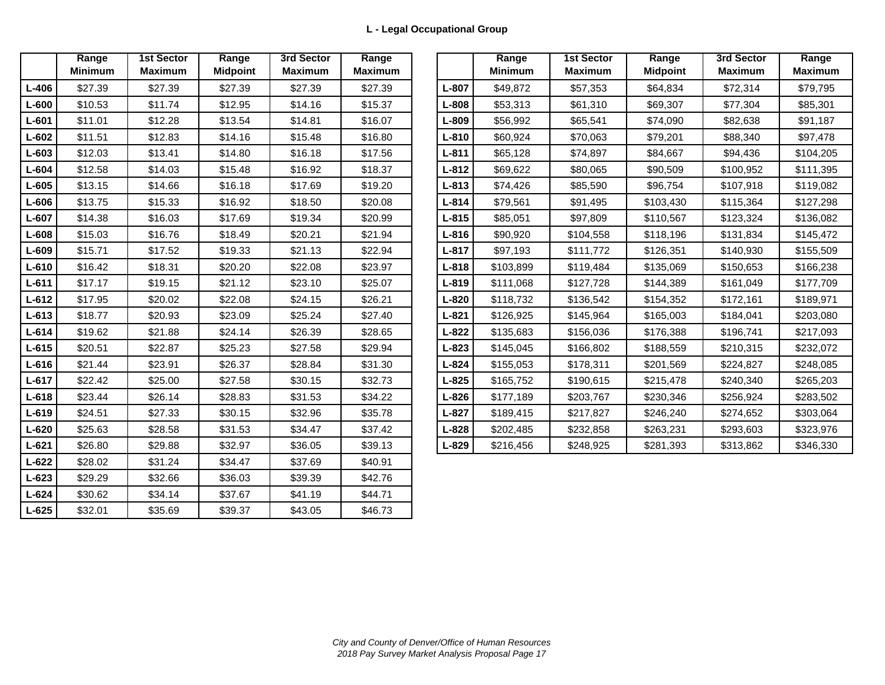|           | Range          | <b>1st Sector</b> | Range           | 3rd Sector     | Range          |
|-----------|----------------|-------------------|-----------------|----------------|----------------|
|           | <b>Minimum</b> | <b>Maximum</b>    | <b>Midpoint</b> | <b>Maximum</b> | <b>Maximum</b> |
| $L - 406$ | \$27.39        | \$27.39           | \$27.39         | \$27.39        | \$27.39        |
| $L - 600$ | \$10.53        | \$11.74           | \$12.95         | \$14.16        | \$15.37        |
| L-601     | \$11.01        | \$12.28           | \$13.54         | \$14.81        | \$16.07        |
| $L - 602$ | \$11.51        | \$12.83           | \$14.16         | \$15.48        | \$16.80        |
| L-603     | \$12.03        | \$13.41           | \$14.80         | \$16.18        | \$17.56        |
| L-604     | \$12.58        | \$14.03           | \$15.48         | \$16.92        | \$18.37        |
| $L-605$   | \$13.15        | \$14.66           | \$16.18         | \$17.69        | \$19.20        |
| L-606     | \$13.75        | \$15.33           | \$16.92         | \$18.50        | \$20.08        |
| $L - 607$ | \$14.38        | \$16.03           | \$17.69         | \$19.34        | \$20.99        |
| L-608     | \$15.03        | \$16.76           | \$18.49         | \$20.21        | \$21.94        |
| L-609     | \$15.71        | \$17.52           | \$19.33         | \$21.13        | \$22.94        |
| $L-610$   | \$16.42        | \$18.31           | \$20.20         | \$22.08        | \$23.97        |
| $L - 611$ | \$17.17        | \$19.15           | \$21.12         | \$23.10        | \$25.07        |
| $L - 612$ | \$17.95        | \$20.02           | \$22.08         | \$24.15        | \$26.21        |
| $L-613$   | \$18.77        | \$20.93           | \$23.09         | \$25.24        | \$27.40        |
| $L - 614$ | \$19.62        | \$21.88           | \$24.14         | \$26.39        | \$28.65        |
| $L-615$   | \$20.51        | \$22.87           | \$25.23         | \$27.58        | \$29.94        |
| $L-616$   | \$21.44        | \$23.91           | \$26.37         | \$28.84        | \$31.30        |
| $L - 617$ | \$22.42        | \$25.00           | \$27.58         | \$30.15        | \$32.73        |
| L-618     | \$23.44        | \$26.14           | \$28.83         | \$31.53        | \$34.22        |
| $L-619$   | \$24.51        | \$27.33           | \$30.15         | \$32.96        | \$35.78        |
| $L - 620$ | \$25.63        | \$28.58           | \$31.53         | \$34.47        | \$37.42        |
| $L-621$   | \$26.80        | \$29.88           | \$32.97         | \$36.05        | \$39.13        |
| $L - 622$ | \$28.02        | \$31.24           | \$34.47         | \$37.69        | \$40.91        |
| $L - 623$ | \$29.29        | \$32.66           | \$36.03         | \$39.39        | \$42.76        |
| $L - 624$ | \$30.62        | \$34.14           | \$37.67         | \$41.19        | \$44.71        |
| $L - 625$ | \$32.01        | \$35.69           | \$39.37         | \$43.05        | \$46.73        |

|       | Range<br><b>Minimum</b> | <b>1st Sector</b><br><b>Maximum</b> | Range<br><b>Midpoint</b> | 3rd Sector<br><b>Maximum</b> | Range<br><b>Maximum</b> |           | Range<br><b>Minimum</b> | <b>1st Sector</b><br><b>Maximum</b> | Range<br><b>Midpoint</b> | 3rd Sector<br><b>Maximum</b> |  |
|-------|-------------------------|-------------------------------------|--------------------------|------------------------------|-------------------------|-----------|-------------------------|-------------------------------------|--------------------------|------------------------------|--|
| L-406 | \$27.39                 | \$27.39                             | \$27.39                  | \$27.39                      | \$27.39                 | $L - 807$ | \$49,872                | \$57,353                            | \$64,834                 | \$72,314                     |  |
| L-600 | \$10.53                 | \$11.74                             | \$12.95                  | \$14.16                      | \$15.37                 | $L - 808$ | \$53,313                | \$61,310                            | \$69,307                 | \$77,304                     |  |
| L-601 | \$11.01                 | \$12.28                             | \$13.54                  | \$14.81                      | \$16.07                 | $L - 809$ | \$56,992                | \$65,541                            | \$74,090                 | \$82,638                     |  |
| L-602 | \$11.51                 | \$12.83                             | \$14.16                  | \$15.48                      | \$16.80                 | $L - 810$ | \$60,924                | \$70,063                            | \$79,201                 | \$88,340                     |  |
| L-603 | \$12.03                 | \$13.41                             | \$14.80                  | \$16.18                      | \$17.56                 | $L - 811$ | \$65,128                | \$74,897                            | \$84,667                 | \$94,436                     |  |
| L-604 | \$12.58                 | \$14.03                             | \$15.48                  | \$16.92                      | \$18.37                 | $L - 812$ | \$69,622                | \$80,065                            | \$90,509                 | \$100,952                    |  |
| L-605 | \$13.15                 | \$14.66                             | \$16.18                  | \$17.69                      | \$19.20                 | $L - 813$ | \$74,426                | \$85,590                            | \$96,754                 | \$107,918                    |  |
| L-606 | \$13.75                 | \$15.33                             | \$16.92                  | \$18.50                      | \$20.08                 | $L - 814$ | \$79,561                | \$91,495                            | \$103,430                | \$115,364                    |  |
| L-607 | \$14.38                 | \$16.03                             | \$17.69                  | \$19.34                      | \$20.99                 | $L - 815$ | \$85,051                | \$97,809                            | \$110,567                | \$123,324                    |  |
| L-608 | \$15.03                 | \$16.76                             | \$18.49                  | \$20.21                      | \$21.94                 | $L - 816$ | \$90,920                | \$104,558                           | \$118,196                | \$131,834                    |  |
| L-609 | \$15.71                 | \$17.52                             | \$19.33                  | \$21.13                      | \$22.94                 | $L - 817$ | \$97,193                | \$111,772                           | \$126,351                | \$140,930                    |  |
| L-610 | \$16.42                 | \$18.31                             | \$20.20                  | \$22.08                      | \$23.97                 | $L - 818$ | \$103,899               | \$119,484                           | \$135,069                | \$150,653                    |  |
| L-611 | \$17.17                 | \$19.15                             | \$21.12                  | \$23.10                      | \$25.07                 | $L - 819$ | \$111,068               | \$127,728                           | \$144,389                | \$161,049                    |  |
| L-612 | \$17.95                 | \$20.02                             | \$22.08                  | \$24.15                      | \$26.21                 | $L - 820$ | \$118,732               | \$136,542                           | \$154,352                | \$172,161                    |  |
| L-613 | \$18.77                 | \$20.93                             | \$23.09                  | \$25.24                      | \$27.40                 | $L - 821$ | \$126,925               | \$145,964                           | \$165,003                | \$184,041                    |  |
| L-614 | \$19.62                 | \$21.88                             | \$24.14                  | \$26.39                      | \$28.65                 | $L - 822$ | \$135,683               | \$156,036                           | \$176,388                | \$196,741                    |  |
| L-615 | \$20.51                 | \$22.87                             | \$25.23                  | \$27.58                      | \$29.94                 | $L - 823$ | \$145,045               | \$166,802                           | \$188,559                | \$210,315                    |  |
| L-616 | \$21.44                 | \$23.91                             | \$26.37                  | \$28.84                      | \$31.30                 | $L - 824$ | \$155,053               | \$178,311                           | \$201,569                | \$224,827                    |  |
| L-617 | \$22.42                 | \$25.00                             | \$27.58                  | \$30.15                      | \$32.73                 | $L - 825$ | \$165,752               | \$190,615                           | \$215,478                | \$240,340                    |  |
| L-618 | \$23.44                 | \$26.14                             | \$28.83                  | \$31.53                      | \$34.22                 | $L - 826$ | \$177,189               | \$203,767                           | \$230,346                | \$256,924                    |  |
| L-619 | \$24.51                 | \$27.33                             | \$30.15                  | \$32.96                      | \$35.78                 | $L - 827$ | \$189,415               | \$217,827                           | \$246,240                | \$274,652                    |  |
| L-620 | \$25.63                 | \$28.58                             | \$31.53                  | \$34.47                      | \$37.42                 | $L - 828$ | \$202,485               | \$232,858                           | \$263,231                | \$293,603                    |  |
| L-621 | \$26.80                 | \$29.88                             | \$32.97                  | \$36.05                      | \$39.13                 | $L - 829$ | \$216,456               | \$248,925                           | \$281,393                | \$313,862                    |  |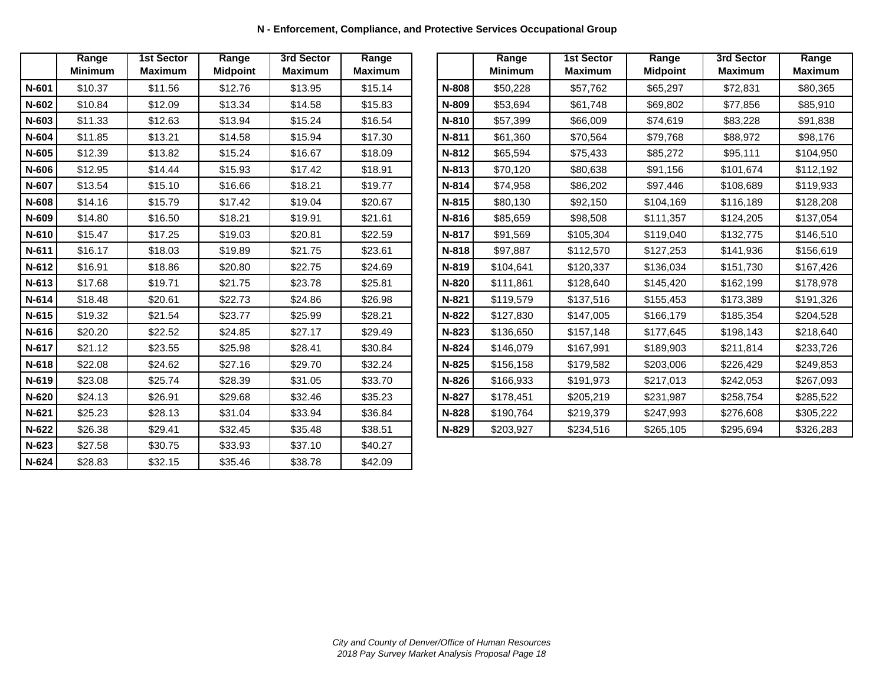| N - Enforcement, Compliance, and Protective Services Occupational Group |  |  |  |
|-------------------------------------------------------------------------|--|--|--|
|-------------------------------------------------------------------------|--|--|--|

|         | Range<br><b>Minimum</b> | <b>1st Sector</b><br><b>Maximum</b> | Range<br><b>Midpoint</b> | 3rd Sector<br><b>Maximum</b> | Range<br><b>Maximum</b> |
|---------|-------------------------|-------------------------------------|--------------------------|------------------------------|-------------------------|
| N-601   | \$10.37                 | \$11.56                             | \$12.76                  | \$13.95                      | \$15.14                 |
| N-602   | \$10.84                 | \$12.09                             | \$13.34                  | \$14.58                      | \$15.83                 |
| N-603   | \$11.33                 | \$12.63                             | \$13.94                  | \$15.24                      | \$16.54                 |
| N-604   | \$11.85                 | \$13.21                             | \$14.58                  | \$15.94                      | \$17.30                 |
| $N-605$ | \$12.39                 | \$13.82                             | \$15.24                  | \$16.67                      | \$18.09                 |
| N-606   | \$12.95                 | \$14.44                             | \$15.93                  | \$17.42                      | \$18.91                 |
| N-607   | \$13.54                 | \$15.10                             | \$16.66                  | \$18.21                      | \$19.77                 |
| N-608   | \$14.16                 | \$15.79                             | \$17.42                  | \$19.04                      | \$20.67                 |
| N-609   | \$14.80                 | \$16.50                             | \$18.21                  | \$19.91                      | \$21.61                 |
| N-610   | \$15.47                 | \$17.25                             | \$19.03                  | \$20.81                      | \$22.59                 |
| N-611   | \$16.17                 | \$18.03                             | \$19.89                  | \$21.75                      | \$23.61                 |
| N-612   | \$16.91                 | \$18.86                             | \$20.80                  | \$22.75                      | \$24.69                 |
| N-613   | \$17.68                 | \$19.71                             | \$21.75                  | \$23.78                      | \$25.81                 |
| N-614   | \$18.48                 | \$20.61                             | \$22.73                  | \$24.86                      | \$26.98                 |
| $N-615$ | \$19.32                 | \$21.54                             | \$23.77                  | \$25.99                      | \$28.21                 |
| N-616   | \$20.20                 | \$22.52                             | \$24.85                  | \$27.17                      | \$29.49                 |
| N-617   | \$21.12                 | \$23.55                             | \$25.98                  | \$28.41                      | \$30.84                 |
| N-618   | \$22.08                 | \$24.62                             | \$27.16                  | \$29.70                      | \$32.24                 |
| N-619   | \$23.08                 | \$25.74                             | \$28.39                  | \$31.05                      | \$33.70                 |
| N-620   | \$24.13                 | \$26.91                             | \$29.68                  | \$32.46                      | \$35.23                 |
| N-621   | \$25.23                 | \$28.13                             | \$31.04                  | \$33.94                      | \$36.84                 |
| N-622   | \$26.38                 | \$29.41                             | \$32.45                  | \$35.48                      | \$38.51                 |
| N-623   | \$27.58                 | \$30.75                             | \$33.93                  | \$37.10                      | \$40.27                 |
| N-624   | \$28.83                 | \$32.15                             | \$35.46                  | \$38.78                      | \$42.09                 |

|         | Range<br><b>Minimum</b> | <b>1st Sector</b><br><b>Maximum</b> | Range<br><b>Midpoint</b> | 3rd Sector<br><b>Maximum</b> | Range<br><b>Maximum</b> |              | Range<br><b>Minimum</b> | <b>1st Sector</b><br><b>Maximum</b> | Range<br><b>Midpoint</b> | 3rd Sector<br><b>Maximum</b> | Range<br><b>Maximum</b> |
|---------|-------------------------|-------------------------------------|--------------------------|------------------------------|-------------------------|--------------|-------------------------|-------------------------------------|--------------------------|------------------------------|-------------------------|
| N-601   | \$10.37                 | \$11.56                             | \$12.76                  | \$13.95                      | \$15.14                 | N-808        | \$50,228                | \$57,762                            | \$65,297                 | \$72,831                     | \$80,365                |
| N-602   | \$10.84                 | \$12.09                             | \$13.34                  | \$14.58                      | \$15.83                 | N-809        | \$53,694                | \$61,748                            | \$69,802                 | \$77,856                     | \$85,910                |
| N-603   | \$11.33                 | \$12.63                             | \$13.94                  | \$15.24                      | \$16.54                 | N-810        | \$57,399                | \$66,009                            | \$74,619                 | \$83,228                     | \$91,838                |
| N-604   | \$11.85                 | \$13.21                             | \$14.58                  | \$15.94                      | \$17.30                 | <b>N-811</b> | \$61,360                | \$70,564                            | \$79,768                 | \$88,972                     | \$98,176                |
| N-605   | \$12.39                 | \$13.82                             | \$15.24                  | \$16.67                      | \$18.09                 | $N-812$      | \$65,594                | \$75,433                            | \$85,272                 | \$95,111                     | \$104,950               |
| N-606   | \$12.95                 | \$14.44                             | \$15.93                  | \$17.42                      | \$18.91                 | $N-813$      | \$70,120                | \$80,638                            | \$91,156                 | \$101,674                    | \$112,192               |
| N-607   | \$13.54                 | \$15.10                             | \$16.66                  | \$18.21                      | \$19.77                 | $N-814$      | \$74,958                | \$86,202                            | \$97,446                 | \$108,689                    | \$119,933               |
| N-608   | \$14.16                 | \$15.79                             | \$17.42                  | \$19.04                      | \$20.67                 | $N-815$      | \$80,130                | \$92,150                            | \$104,169                | \$116,189                    | \$128,208               |
| N-609   | \$14.80                 | \$16.50                             | \$18.21                  | \$19.91                      | \$21.61                 | N-816        | \$85,659                | \$98,508                            | \$111,357                | \$124,205                    | \$137,054               |
| N-610   | \$15.47                 | \$17.25                             | \$19.03                  | \$20.81                      | \$22.59                 | N-817        | \$91,569                | \$105,304                           | \$119,040                | \$132,775                    | \$146,510               |
| N-611   | \$16.17                 | \$18.03                             | \$19.89                  | \$21.75                      | \$23.61                 | N-818        | \$97,887                | \$112,570                           | \$127,253                | \$141,936                    | \$156,619               |
| N-612   | \$16.91                 | \$18.86                             | \$20.80                  | \$22.75                      | \$24.69                 | N-819        | \$104,641               | \$120,337                           | \$136,034                | \$151,730                    | \$167,426               |
| N-613   | \$17.68                 | \$19.71                             | \$21.75                  | \$23.78                      | \$25.81                 | N-820        | \$111,861               | \$128,640                           | \$145,420                | \$162,199                    | \$178,978               |
| N-614   | \$18.48                 | \$20.61                             | \$22.73                  | \$24.86                      | \$26.98                 | N-821        | \$119,579               | \$137,516                           | \$155,453                | \$173,389                    | \$191,326               |
| N-615   | \$19.32                 | \$21.54                             | \$23.77                  | \$25.99                      | \$28.21                 | N-822        | \$127,830               | \$147,005                           | \$166,179                | \$185,354                    | \$204,528               |
| N-616   | \$20.20                 | \$22.52                             | \$24.85                  | \$27.17                      | \$29.49                 | N-823        | \$136,650               | \$157,148                           | \$177,645                | \$198,143                    | \$218,640               |
| N-617   | \$21.12                 | \$23.55                             | \$25.98                  | \$28.41                      | \$30.84                 | N-824        | \$146,079               | \$167,991                           | \$189,903                | \$211,814                    | \$233,726               |
| N-618   | \$22.08                 | \$24.62                             | \$27.16                  | \$29.70                      | \$32.24                 | $N-825$      | \$156,158               | \$179,582                           | \$203,006                | \$226,429                    | \$249,853               |
| N-619   | \$23.08                 | \$25.74                             | \$28.39                  | \$31.05                      | \$33.70                 | N-826        | \$166,933               | \$191,973                           | \$217,013                | \$242,053                    | \$267,093               |
| $N-620$ | \$24.13                 | \$26.91                             | \$29.68                  | \$32.46                      | \$35.23                 | N-827        | \$178,451               | \$205,219                           | \$231,987                | \$258,754                    | \$285,522               |
| N-621   | \$25.23                 | \$28.13                             | \$31.04                  | \$33.94                      | \$36.84                 | N-828        | \$190,764               | \$219,379                           | \$247,993                | \$276,608                    | \$305,222               |
| N-622   | \$26.38                 | \$29.41                             | \$32.45                  | \$35.48                      | \$38.51                 | N-829        | \$203,927               | \$234,516                           | \$265,105                | \$295,694                    | \$326,283               |
|         |                         |                                     |                          |                              |                         |              |                         |                                     |                          |                              |                         |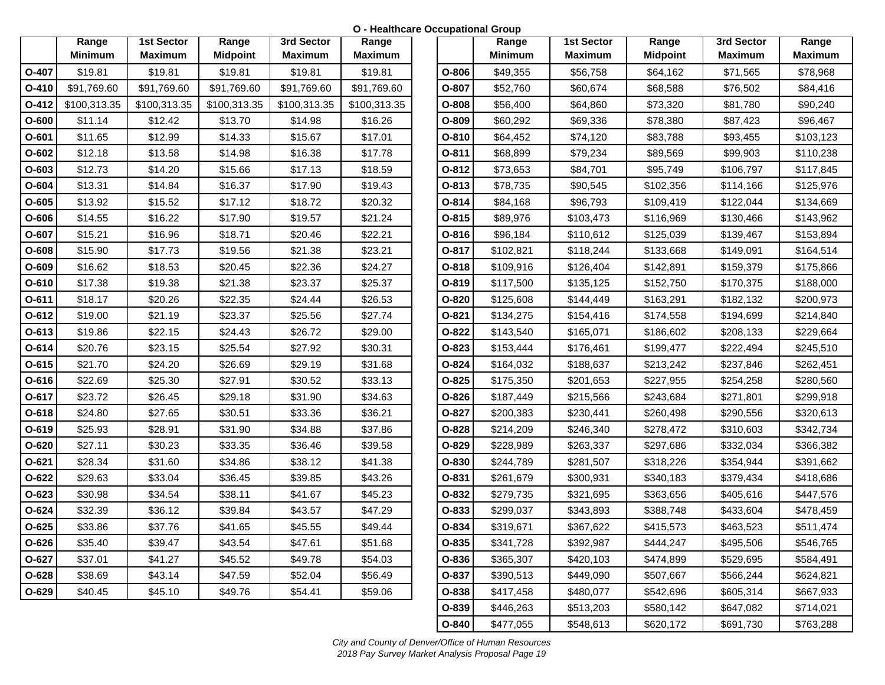**O - Healthcare Occupational Group**

|         | Range          | <b>1st Sector</b> | Range           | 3rd Sector     | Range          |
|---------|----------------|-------------------|-----------------|----------------|----------------|
|         | <b>Minimum</b> | <b>Maximum</b>    | <b>Midpoint</b> | <b>Maximum</b> | <b>Maximum</b> |
| O-407   | \$19.81        | \$19.81           | \$19.81         | \$19.81        | \$19.81        |
| O-410   | \$91,769.60    | \$91,769.60       | \$91,769.60     | \$91,769.60    | \$91,769.60    |
| $O-412$ | \$100,313.35   | \$100,313.35      | \$100,313.35    | \$100,313.35   | \$100,313.35   |
| $O-600$ | \$11.14        | \$12.42           | \$13.70         | \$14.98        | \$16.26        |
| $O-601$ | \$11.65        | \$12.99           | \$14.33         | \$15.67        | \$17.01        |
| $O-602$ | \$12.18        | \$13.58           | \$14.98         | \$16.38        | \$17.78        |
| O-603   | \$12.73        | \$14.20           | \$15.66         | \$17.13        | \$18.59        |
| O-604   | \$13.31        | \$14.84           | \$16.37         | \$17.90        | \$19.43        |
| $O-605$ | \$13.92        | \$15.52           | \$17.12         | \$18.72        | \$20.32        |
| O-606   | \$14.55        | \$16.22           | \$17.90         | \$19.57        | \$21.24        |
| O-607   | \$15.21        | \$16.96           | \$18.71         | \$20.46        | \$22.21        |
| O-608   | \$15.90        | \$17.73           | \$19.56         | \$21.38        | \$23.21        |
| O-609   | \$16.62        | \$18.53           | \$20.45         | \$22.36        | \$24.27        |
| O-610   | \$17.38        | \$19.38           | \$21.38         | \$23.37        | \$25.37        |
| $O-611$ | \$18.17        | \$20.26           | \$22.35         | \$24.44        | \$26.53        |
| $O-612$ | \$19.00        | \$21.19           | \$23.37         | \$25.56        | \$27.74        |
| $O-613$ | \$19.86        | \$22.15           | \$24.43         | \$26.72        | \$29.00        |
| $O-614$ | \$20.76        | \$23.15           | \$25.54         | \$27.92        | \$30.31        |
| $O-615$ | \$21.70        | \$24.20           | \$26.69         | \$29.19        | \$31.68        |
| O-616   | \$22.69        | \$25.30           | \$27.91         | \$30.52        | \$33.13        |
| $O-617$ | \$23.72        | \$26.45           | \$29.18         | \$31.90        | \$34.63        |
| $O-618$ | \$24.80        | \$27.65           | \$30.51         | \$33.36        | \$36.21        |
| O-619   | \$25.93        | \$28.91           | \$31.90         | \$34.88        | \$37.86        |
| O-620   | \$27.11        | \$30.23           | \$33.35         | \$36.46        | \$39.58        |
| O-621   | \$28.34        | \$31.60           | \$34.86         | \$38.12        | \$41.38        |
| O-622   | \$29.63        | \$33.04           | \$36.45         | \$39.85        | \$43.26        |
| $O-623$ | \$30.98        | \$34.54           | \$38.11         | \$41.67        | \$45.23        |
| $O-624$ | \$32.39        | \$36.12           | \$39.84         | \$43.57        | \$47.29        |
| $O-625$ | \$33.86        | \$37.76           | \$41.65         | \$45.55        | \$49.44        |
| O-626   | \$35.40        | \$39.47           | \$43.54         | \$47.61        | \$51.68        |
| O-627   | \$37.01        | \$41.27           | \$45.52         | \$49.78        | \$54.03        |
| O-628   | \$38.69        | \$43.14           | \$47.59         | \$52.04        | \$56.49        |
| $O-629$ | \$40.45        | \$45.10           | \$49.76         | \$54.41        | \$59.06        |

|           | Range          | <b>1st Sector</b> | Range           | 3rd Sector     | Range          |         | Range          | <b>1st Sector</b> | Range           | 3rd Sector     |  |
|-----------|----------------|-------------------|-----------------|----------------|----------------|---------|----------------|-------------------|-----------------|----------------|--|
|           | <b>Minimum</b> | <b>Maximum</b>    | <b>Midpoint</b> | <b>Maximum</b> | <b>Maximum</b> |         | <b>Minimum</b> | <b>Maximum</b>    | <b>Midpoint</b> | <b>Maximum</b> |  |
| O-407     | \$19.81        | \$19.81           | \$19.81         | \$19.81        | \$19.81        | O-806   | \$49,355       | \$56,758          | \$64,162        | \$71,565       |  |
| O-410     | \$91,769.60    | \$91,769.60       | \$91,769.60     | \$91,769.60    | \$91,769.60    | O-807   | \$52,760       | \$60,674          | \$68,588        | \$76,502       |  |
| O-412     | \$100,313.35   | \$100,313.35      | \$100,313.35    | \$100,313.35   | \$100,313.35   | O-808   | \$56,400       | \$64,860          | \$73,320        | \$81,780       |  |
| O-600     | \$11.14        | \$12.42           | \$13.70         | \$14.98        | \$16.26        | O-809   | \$60,292       | \$69,336          | \$78,380        | \$87,423       |  |
| O-601     | \$11.65        | \$12.99           | \$14.33         | \$15.67        | \$17.01        | $O-810$ | \$64,452       | \$74,120          | \$83,788        | \$93,455       |  |
| O-602     | \$12.18        | \$13.58           | \$14.98         | \$16.38        | \$17.78        | $O-811$ | \$68,899       | \$79,234          | \$89,569        | \$99,903       |  |
| O-603     | \$12.73        | \$14.20           | \$15.66         | \$17.13        | \$18.59        | $O-812$ | \$73,653       | \$84,701          | \$95,749        | \$106,797      |  |
| O-604     | \$13.31        | \$14.84           | \$16.37         | \$17.90        | \$19.43        | $O-813$ | \$78,735       | \$90,545          | \$102,356       | \$114,166      |  |
| $O-605$   | \$13.92        | \$15.52           | \$17.12         | \$18.72        | \$20.32        | O-814   | \$84,168       | \$96,793          | \$109,419       | \$122,044      |  |
| O-606     | \$14.55        | \$16.22           | \$17.90         | \$19.57        | \$21.24        | $O-815$ | \$89,976       | \$103,473         | \$116,969       | \$130,466      |  |
| 0-607     | \$15.21        | \$16.96           | \$18.71         | \$20.46        | \$22.21        | O-816   | \$96,184       | \$110,612         | \$125,039       | \$139,467      |  |
| O-608     | \$15.90        | \$17.73           | \$19.56         | \$21.38        | \$23.21        | O-817   | \$102,821      | \$118,244         | \$133,668       | \$149,091      |  |
| O-609     | \$16.62        | \$18.53           | \$20.45         | \$22.36        | \$24.27        | $O-818$ | \$109,916      | \$126,404         | \$142,891       | \$159,379      |  |
| $O-610$   | \$17.38        | \$19.38           | \$21.38         | \$23.37        | \$25.37        | $O-819$ | \$117,500      | \$135,125         | \$152,750       | \$170,375      |  |
| 0-611     | \$18.17        | \$20.26           | \$22.35         | \$24.44        | \$26.53        | O-820   | \$125,608      | \$144,449         | \$163,291       | \$182,132      |  |
| O-612     | \$19.00        | \$21.19           | \$23.37         | \$25.56        | \$27.74        | $O-821$ | \$134,275      | \$154,416         | \$174,558       | \$194,699      |  |
| O-613     | \$19.86        | \$22.15           | \$24.43         | \$26.72        | \$29.00        | $O-822$ | \$143,540      | \$165,071         | \$186,602       | \$208,133      |  |
| 0-614     | \$20.76        | \$23.15           | \$25.54         | \$27.92        | \$30.31        | O-823   | \$153,444      | \$176,461         | \$199,477       | \$222,494      |  |
| $O-615$   | \$21.70        | \$24.20           | \$26.69         | \$29.19        | \$31.68        | O-824   | \$164,032      | \$188,637         | \$213,242       | \$237,846      |  |
| O-616     | \$22.69        | \$25.30           | \$27.91         | \$30.52        | \$33.13        | $O-825$ | \$175,350      | \$201,653         | \$227,955       | \$254,258      |  |
| $0 - 617$ | \$23.72        | \$26.45           | \$29.18         | \$31.90        | \$34.63        | O-826   | \$187,449      | \$215,566         | \$243,684       | \$271,801      |  |
| O-618     | \$24.80        | \$27.65           | \$30.51         | \$33.36        | \$36.21        | O-827   | \$200,383      | \$230,441         | \$260,498       | \$290,556      |  |
| 0-619     | \$25.93        | \$28.91           | \$31.90         | \$34.88        | \$37.86        | O-828   | \$214,209      | \$246,340         | \$278,472       | \$310,603      |  |
| O-620     | \$27.11        | \$30.23           | \$33.35         | \$36.46        | \$39.58        | O-829   | \$228,989      | \$263,337         | \$297,686       | \$332,034      |  |
| 0-621     | \$28.34        | \$31.60           | \$34.86         | \$38.12        | \$41.38        | O-830   | \$244,789      | \$281,507         | \$318,226       | \$354,944      |  |
| $O-622$   | \$29.63        | \$33.04           | \$36.45         | \$39.85        | \$43.26        | O-831   | \$261,679      | \$300,931         | \$340,183       | \$379,434      |  |
| 0-623     | \$30.98        | \$34.54           | \$38.11         | \$41.67        | \$45.23        | O-832   | \$279,735      | \$321,695         | \$363,656       | \$405,616      |  |
| 0-624     | \$32.39        | \$36.12           | \$39.84         | \$43.57        | \$47.29        | O-833   | \$299,037      | \$343,893         | \$388,748       | \$433,604      |  |
| $O-625$   | \$33.86        | \$37.76           | \$41.65         | \$45.55        | \$49.44        | O-834   | \$319,671      | \$367,622         | \$415,573       | \$463,523      |  |
| 0-626     | \$35.40        | \$39.47           | \$43.54         | \$47.61        | \$51.68        | O-835   | \$341,728      | \$392,987         | \$444,247       | \$495,506      |  |
| 0-627     | \$37.01        | \$41.27           | \$45.52         | \$49.78        | \$54.03        | O-836   | \$365,307      | \$420,103         | \$474,899       | \$529,695      |  |
| 0-628     | \$38.69        | \$43.14           | \$47.59         | \$52.04        | \$56.49        | O-837   | \$390,513      | \$449,090         | \$507,667       | \$566,244      |  |
| O-629     | \$40.45        | \$45.10           | \$49.76         | \$54.41        | \$59.06        | O-838   | \$417,458      | \$480,077         | \$542,696       | \$605,314      |  |
|           |                |                   |                 |                |                | O-839   | \$446,263      | \$513,203         | \$580,142       | \$647,082      |  |
|           |                |                   |                 |                |                | O-840   | \$477,055      | \$548,613         | \$620,172       | \$691,730      |  |

*City and County of Denver/Office of Human Resources 2018 Pay Survey Market Analysis Proposal Page 19*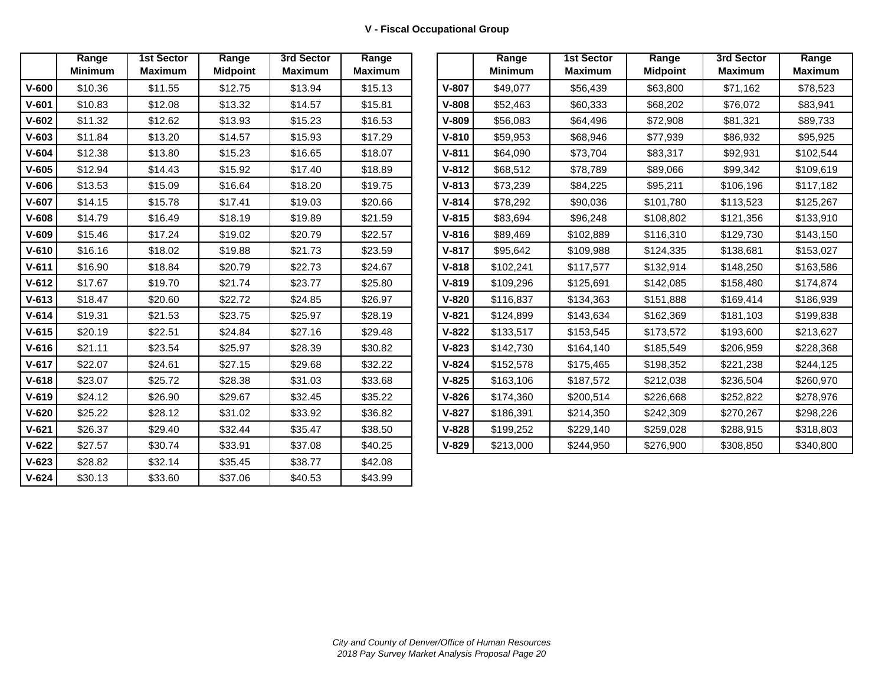|           | Range<br><b>Minimum</b> | <b>1st Sector</b><br><b>Maximum</b> | Range<br><b>Midpoint</b> | 3rd Sector<br><b>Maximum</b> | Range<br><b>Maximum</b> |
|-----------|-------------------------|-------------------------------------|--------------------------|------------------------------|-------------------------|
|           |                         |                                     |                          |                              |                         |
| $V - 600$ | \$10.36                 | \$11.55                             | \$12.75                  | \$13.94                      | \$15.13                 |
| $V-601$   | \$10.83                 | \$12.08                             | \$13.32                  | \$14.57                      | \$15.81                 |
| $V-602$   | \$11.32                 | \$12.62                             | \$13.93                  | \$15.23                      | \$16.53                 |
| $V-603$   | \$11.84                 | \$13.20                             | \$14.57                  | \$15.93                      | \$17.29                 |
| $V-604$   | \$12.38                 | \$13.80                             | \$15.23                  | \$16.65                      | \$18.07                 |
| $V-605$   | \$12.94                 | \$14.43                             | \$15.92                  | \$17.40                      | \$18.89                 |
| $V-606$   | \$13.53                 | \$15.09                             | \$16.64                  | \$18.20                      | \$19.75                 |
| $V-607$   | \$14.15                 | \$15.78                             | \$17.41                  | \$19.03                      | \$20.66                 |
| $V-608$   | \$14.79                 | \$16.49                             | \$18.19                  | \$19.89                      | \$21.59                 |
| $V-609$   | \$15.46                 | \$17.24                             | \$19.02                  | \$20.79                      | \$22.57                 |
| $V - 610$ | \$16.16                 | \$18.02                             | \$19.88                  | \$21.73                      | \$23.59                 |
| $V - 611$ | \$16.90                 | \$18.84                             | \$20.79                  | \$22.73                      | \$24.67                 |
| $V - 612$ | \$17.67                 | \$19.70                             | \$21.74                  | \$23.77                      | \$25.80                 |
| $V-613$   | \$18.47                 | \$20.60                             | \$22.72                  | \$24.85                      | \$26.97                 |
| $V - 614$ | \$19.31                 | \$21.53                             | \$23.75                  | \$25.97                      | \$28.19                 |
| $V-615$   | \$20.19                 | \$22.51                             | \$24.84                  | \$27.16                      | \$29.48                 |
| $V-616$   | \$21.11                 | \$23.54                             | \$25.97                  | \$28.39                      | \$30.82                 |
| $V-617$   | \$22.07                 | \$24.61                             | \$27.15                  | \$29.68                      | \$32.22                 |
| $V - 618$ | \$23.07                 | \$25.72                             | \$28.38                  | \$31.03                      | \$33.68                 |
| $V-619$   | \$24.12                 | \$26.90                             | \$29.67                  | \$32.45                      | \$35.22                 |
| $V-620$   | \$25.22                 | \$28.12                             | \$31.02                  | \$33.92                      | \$36.82                 |
| $V-621$   | \$26.37                 | \$29.40                             | \$32.44                  | \$35.47                      | \$38.50                 |
| $V-622$   | \$27.57                 | \$30.74                             | \$33.91                  | \$37.08                      | \$40.25                 |
| $V - 623$ | \$28.82                 | \$32.14                             | \$35.45                  | \$38.77                      | \$42.08                 |
| $V - 624$ | \$30.13                 | \$33.60                             | \$37.06                  | \$40.53                      | \$43.99                 |

|           | Range<br><b>Minimum</b> | <b>1st Sector</b><br><b>Maximum</b> | Range<br><b>Midpoint</b> | 3rd Sector<br><b>Maximum</b> | Range<br><b>Maximum</b> |           | Range<br><b>Minimum</b> | <b>1st Sector</b><br><b>Maximum</b> | Range<br><b>Midpoint</b> | 3rd Sector<br><b>Maximum</b> |  |
|-----------|-------------------------|-------------------------------------|--------------------------|------------------------------|-------------------------|-----------|-------------------------|-------------------------------------|--------------------------|------------------------------|--|
|           | \$10.36                 | \$11.55                             | \$12.75                  | \$13.94                      | \$15.13                 | $V-807$   | \$49,077                | \$56,439                            | \$63,800                 | \$71,162                     |  |
| V-601     | \$10.83                 | \$12.08                             | \$13.32                  | \$14.57                      | \$15.81                 | $V - 808$ | \$52,463                | \$60,333                            | \$68,202                 | \$76,072                     |  |
| $V - 602$ | \$11.32                 | \$12.62                             | \$13.93                  | \$15.23                      | \$16.53                 | $V-809$   | \$56,083                | \$64,496                            | \$72,908                 | \$81,321                     |  |
| V-603     | \$11.84                 | \$13.20                             | \$14.57                  | \$15.93                      | \$17.29                 | $V - 810$ | \$59,953                | \$68,946                            | \$77,939                 | \$86,932                     |  |
| V-604     | \$12.38                 | \$13.80                             | \$15.23                  | \$16.65                      | \$18.07                 | $V - 811$ | \$64,090                | \$73,704                            | \$83,317                 | \$92,931                     |  |
| V-605     | \$12.94                 | \$14.43                             | \$15.92                  | \$17.40                      | \$18.89                 | $V-812$   | \$68,512                | \$78,789                            | \$89,066                 | \$99,342                     |  |
| V-606     | \$13.53                 | \$15.09                             | \$16.64                  | \$18.20                      | \$19.75                 | $V-813$   | \$73,239                | \$84,225                            | \$95,211                 | \$106,196                    |  |
| $V - 607$ | \$14.15                 | \$15.78                             | \$17.41                  | \$19.03                      | \$20.66                 | $V - 814$ | \$78,292                | \$90,036                            | \$101,780                | \$113,523                    |  |
| V-608     | \$14.79                 | \$16.49                             | \$18.19                  | \$19.89                      | \$21.59                 | $V - 815$ | \$83,694                | \$96,248                            | \$108,802                | \$121,356                    |  |
| $V - 609$ | \$15.46                 | \$17.24                             | \$19.02                  | \$20.79                      | \$22.57                 | $V - 816$ | \$89,469                | \$102,889                           | \$116,310                | \$129,730                    |  |
| V-610     | \$16.16                 | \$18.02                             | \$19.88                  | \$21.73                      | \$23.59                 | $V-817$   | \$95,642                | \$109,988                           | \$124,335                | \$138,681                    |  |
| V-611     | \$16.90                 | \$18.84                             | \$20.79                  | \$22.73                      | \$24.67                 | $V - 818$ | \$102,241               | \$117,577                           | \$132,914                | \$148,250                    |  |
| $V - 612$ | \$17.67                 | \$19.70                             | \$21.74                  | \$23.77                      | \$25.80                 | $V-819$   | \$109,296               | \$125,691                           | \$142,085                | \$158,480                    |  |
| $V - 613$ | \$18.47                 | \$20.60                             | \$22.72                  | \$24.85                      | \$26.97                 | $V-820$   | \$116,837               | \$134,363                           | \$151,888                | \$169,414                    |  |
| $V - 614$ | \$19.31                 | \$21.53                             | \$23.75                  | \$25.97                      | \$28.19                 | $V-821$   | \$124,899               | \$143,634                           | \$162,369                | \$181,103                    |  |
| V-615     | \$20.19                 | \$22.51                             | \$24.84                  | \$27.16                      | \$29.48                 | $V-822$   | \$133,517               | \$153,545                           | \$173,572                | \$193,600                    |  |
| $V - 616$ | \$21.11                 | \$23.54                             | \$25.97                  | \$28.39                      | \$30.82                 | $V - 823$ | \$142,730               | \$164,140                           | \$185,549                | \$206,959                    |  |
| V-617     | \$22.07                 | \$24.61                             | \$27.15                  | \$29.68                      | \$32.22                 | $V - 824$ | \$152,578               | \$175,465                           | \$198,352                | \$221,238                    |  |
| $V - 618$ | \$23.07                 | \$25.72                             | \$28.38                  | \$31.03                      | \$33.68                 | $V-825$   | \$163,106               | \$187,572                           | \$212,038                | \$236,504                    |  |
| V-619     | \$24.12                 | \$26.90                             | \$29.67                  | \$32.45                      | \$35.22                 | $V - 826$ | \$174,360               | \$200,514                           | \$226,668                | \$252,822                    |  |
| V-620     | \$25.22                 | \$28.12                             | \$31.02                  | \$33.92                      | \$36.82                 | $V-827$   | \$186,391               | \$214,350                           | \$242,309                | \$270,267                    |  |
| $V - 621$ | \$26.37                 | \$29.40                             | \$32.44                  | \$35.47                      | \$38.50                 | $V - 828$ | \$199,252               | \$229,140                           | \$259,028                | \$288,915                    |  |
| $V-622$   | \$27.57                 | \$30.74                             | \$33.91                  | \$37.08                      | \$40.25                 | $V-829$   | \$213,000               | \$244,950                           | \$276,900                | \$308,850                    |  |